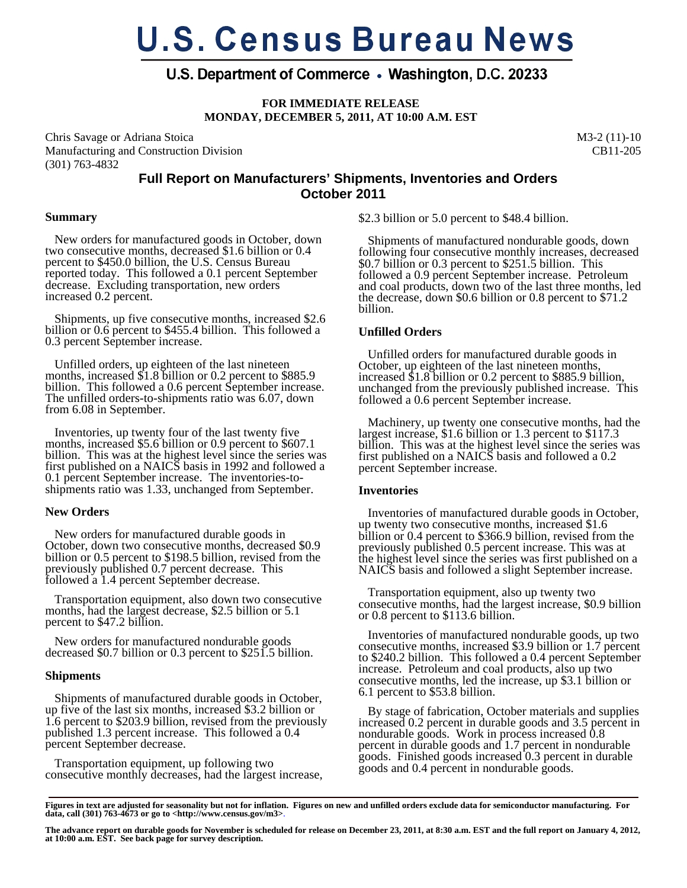# **U.S. Census Bureau News**

# U.S. Department of Commerce • Washington, D.C. 20233

**FOR IMMEDIATE RELEASE MONDAY, DECEMBER 5, 2011, AT 10:00 A.M. EST** 

Chris Savage or Adriana Stoica Manufacturing and Construction Division (301) 763-4832

M3-2 (11)-10 CB11-205

## **Full Report on Manufacturers' Shipments, Inventories and Orders October 2011**

#### **Summary**

 New orders for manufactured goods in October, down two consecutive months, decreased \$1.6 billion or 0.4 percent to \$450.0 billion, the U.S. Census Bureau reported today. This followed a 0.1 percent September decrease. Excluding transportation, new orders increased 0.2 percent.

 Shipments, up five consecutive months, increased \$2.6 billion or 0.6 percent to \$455.4 billion. This followed a 0.3 percent September increase.

 Unfilled orders, up eighteen of the last nineteen months, increased \$1.8 billion or 0.2 percent to \$885.9 billion. This followed a 0.6 percent September increase. The unfilled orders-to-shipments ratio was 6.07, down from 6.08 in September.

 Inventories, up twenty four of the last twenty five months, increased \$5.6 billion or 0.9 percent to \$607.1 billion. This was at the highest level since the series was first published on a NAICS basis in 1992 and followed a 0.1 percent September increase. The inventories-toshipments ratio was 1.33, unchanged from September.

### **New Orders**

 New orders for manufactured durable goods in October, down two consecutive months, decreased \$0.9 billion or 0.5 percent to \$198.5 billion, revised from the previously published 0.7 percent decrease. This followed a 1.4 percent September decrease.

 Transportation equipment, also down two consecutive months, had the largest decrease, \$2.5 billion or 5.1 percent to \$47.2 billion.

 New orders for manufactured nondurable goods decreased \$0.7 billion or 0.3 percent to \$251.5 billion.

### **Shipments**

 Shipments of manufactured durable goods in October, up five of the last six months, increased \$3.2 billion or 1.6 percent to \$203.9 billion, revised from the previously published 1.3 percent increase. This followed a 0.4 percent September decrease.

 Transportation equipment, up following two consecutive monthly decreases, had the largest increase, \$2.3 billion or 5.0 percent to \$48.4 billion.

 Shipments of manufactured nondurable goods, down following four consecutive monthly increases, decreased \$0.7 billion or 0.3 percent to \$251.5 billion. This followed a 0.9 percent September increase. Petroleum and coal products, down two of the last three months, led the decrease, down \$0.6 billion or 0.8 percent to \$71.2 billion.

## **Unfilled Orders**

 Unfilled orders for manufactured durable goods in October, up eighteen of the last nineteen months, increased \$1.8 billion or 0.2 percent to \$885.9 billion, unchanged from the previously published increase. This followed a 0.6 percent September increase.

 Machinery, up twenty one consecutive months, had the largest increase, \$1.6 billion or 1.3 percent to \$117.3 billion. This was at the highest level since the series was first published on a NAICS basis and followed a 0.2 percent September increase.

### **Inventories**

 Inventories of manufactured durable goods in October, up twenty two consecutive months, increased \$1.6 billion or 0.4 percent to \$366.9 billion, revised from the previously published 0.5 percent increase. This was at the highest level since the series was first published on a NAICS basis and followed a slight September increase.

 Transportation equipment, also up twenty two consecutive months, had the largest increase, \$0.9 billion or 0.8 percent to \$113.6 billion.

 Inventories of manufactured nondurable goods, up two consecutive months, increased \$3.9 billion or 1.7 percent to \$240.2 billion. This followed a 0.4 percent September increase. Petroleum and coal products, also up two consecutive months, led the increase, up \$3.1 billion or 6.1 percent to \$53.8 billion.

 By stage of fabrication, October materials and supplies increased 0.2 percent in durable goods and 3.5 percent in nondurable goods. Work in process increased 0.8 percent in durable goods and 1.7 percent in nondurable goods. Finished goods increased 0.3 percent in durable goods and 0.4 percent in nondurable goods.

**Figures in text are adjusted for seasonality but not for inflation. Figures on new and unfilled orders exclude data for semiconductor manufacturing. For data, call (301) 763-4673 or go to <http://www.census.gov/m3>**.

The advance report on durable goods for November is scheduled for release on December 23, 2011, at 8:30 a.m. EST and the full report on January 4, 2012,<br>at 10:00 a.m. EST. See back page for survey description.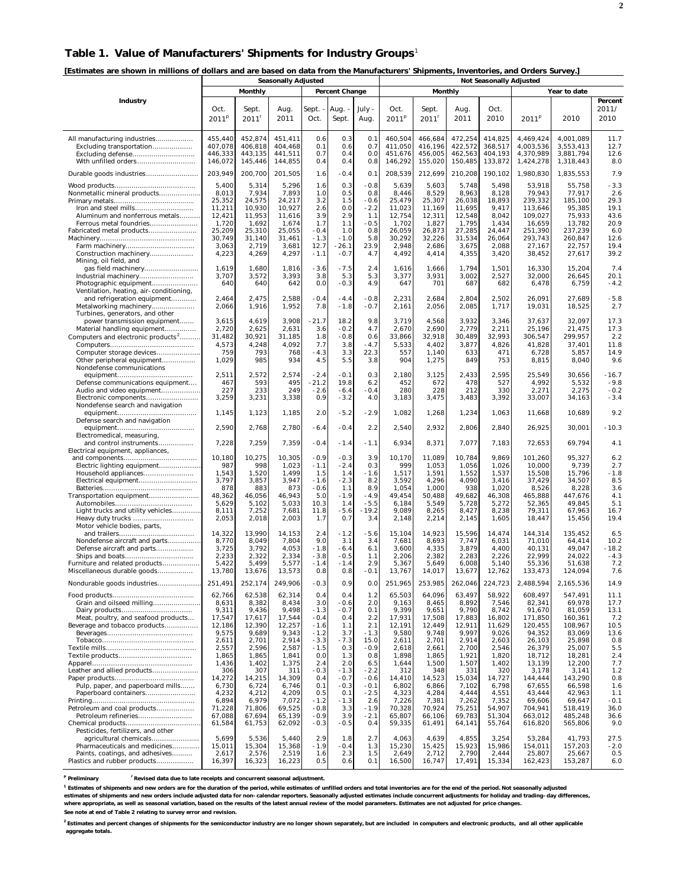#### **Table 1. Value of Manufacturers' Shipments for Industry Groups**<sup>1</sup>

**[Estimates are shown in millions of dollars and are based on data from the Manufacturers' Shipments, Inventories, and Orders Survey.]** 

|                                                                                                       | <b>Seasonally Adjusted</b>               |                                          |                                          |                          |                          | <b>Not Seasonally Adjusted</b> |                                          |                                          |                                          |                                          |                                                  |                                                  |                             |
|-------------------------------------------------------------------------------------------------------|------------------------------------------|------------------------------------------|------------------------------------------|--------------------------|--------------------------|--------------------------------|------------------------------------------|------------------------------------------|------------------------------------------|------------------------------------------|--------------------------------------------------|--------------------------------------------------|-----------------------------|
|                                                                                                       |                                          | Monthly                                  |                                          |                          | Percent Change           |                                |                                          | Monthly                                  |                                          |                                          |                                                  | Year to date                                     |                             |
| Industry                                                                                              | Oct.<br>2011 <sup>p</sup>                | Sept.<br>$2011$ <sup>r</sup>             | Aug.<br>2011                             | Sept. -<br>Oct.          | Aug.<br>Sept.            | July -<br>Aug.                 | Oct.<br>2011 <sup>P</sup>                | Sept.<br>2011 <sup>r</sup>               | Aug.<br>2011                             | Oct.<br>2010                             | 2011 <sup>p</sup>                                | 2010                                             | Percent<br>2011/<br>2010    |
| All manufacturing industries<br>Excluding transportation<br>Excluding defense<br>With unfilled orders | 455,440<br>407,078<br>446.333<br>146,072 | 452,874<br>406,818<br>443,135<br>145,446 | 451,411<br>404,468<br>441,511<br>144,855 | 0.6<br>0.1<br>0.7<br>0.4 | 0.3<br>0.6<br>0.4<br>0.4 | 0.1<br>0.7<br>0.0<br>0.8       | 460,504<br>411,050<br>451,676<br>146,292 | 466,684<br>416,196<br>456,005<br>155,020 | 472,254<br>422,572<br>462,563<br>150,485 | 414,825<br>368,517<br>404,193<br>133,872 | 4,469,424<br>4,003,536<br>4,370,989<br>1,424,278 | 4,001,089<br>3,553,413<br>3,881,794<br>1,318,443 | 11.7<br>12.7<br>12.6<br>8.0 |
| Durable goods industries                                                                              | 203,949                                  | 200,700                                  | 201,505                                  | 1.6                      | $-0.4$                   | 0.1                            | 208,539                                  | 212,699                                  | 210,208                                  | 190,102                                  | 1,980,830                                        | 1,835,553                                        | 7.9                         |
|                                                                                                       | 5,400                                    | 5,314                                    | 5,296                                    | 1.6                      | 0.3                      | $-0.8$                         | 5,639                                    | 5,603                                    | 5,748                                    | 5,498                                    | 53,918                                           | 55,758                                           | $-3.3$                      |
| Nonmetallic mineral products                                                                          | 8,013                                    | 7,934                                    | 7,893                                    | 1.0                      | 0.5                      | 0.8                            | 8,446                                    | 8,529                                    | 8,963                                    | 8,128                                    | 79,943                                           | 77,917                                           | 2.6                         |
|                                                                                                       | 25,352                                   | 24,575                                   | 24,217                                   | 3.2                      | 1.5                      | $-0.6$                         | 25,479                                   | 25,307                                   | 26,038                                   | 18,893                                   | 239,332                                          | 185,100                                          | 29.3                        |
| Iron and steel mills                                                                                  | 11,211                                   | 10,930                                   | 10,927                                   | 2.6                      | 0.0                      | $-2.2$                         | 11,023                                   | 11,169                                   | 11,695                                   | 9,417                                    | 113,646                                          | 95,385                                           | 19.1                        |
| Aluminum and nonferrous metals<br>Ferrous metal foundries                                             | 12,421<br>1,720                          | 11,953<br>1,692                          | 11,616<br>1,674                          | 3.9<br>1.7               | 2.9<br>1.1               | 1.1<br>$-0.5$                  | 12,754<br>1,702                          | 12,311<br>1,827                          | 12,548<br>1,795                          | 8,042<br>1,434                           | 109,027<br>16,659                                | 75,933<br>13.782                                 | 43.6<br>20.9                |
| Fabricated metal products                                                                             | 25,209                                   | 25,310                                   | 25,055                                   | $-0.4$                   | 1.0                      | 0.8                            | 26,059                                   | 26,873                                   | 27,285                                   | 24,447                                   | 251,390                                          | 237,239                                          | 6.0                         |
|                                                                                                       | 30,749                                   | 31,140                                   | 31,461                                   | $-1.3$                   | $-1.0$                   | 5.8                            | 30,292                                   | 32,226                                   | 31,534                                   | 26,064                                   | 293,743                                          | 260,847                                          | 12.6                        |
| Farm machinery                                                                                        | 3,063                                    | 2,719                                    | 3,681                                    | 12.7                     | $-26.1$                  | 23.9                           | 2,948                                    | 2,686                                    | 3,675                                    | 2,088                                    | 27,167                                           | 22,757                                           | 19.4                        |
| Construction machinery<br>Mining, oil field, and                                                      | 4,223                                    | 4,269                                    | 4,297                                    | $-1.1$                   | $-0.7$                   | 4.7                            | 4,492                                    | 4,414                                    | 4,355                                    | 3,420                                    | 38,452                                           | 27,617                                           | 39.2                        |
|                                                                                                       | 1,619                                    | 1,680                                    | 1,816                                    | $-3.6$                   | $-7.5$                   | 2.4                            | 1,616                                    | 1,666                                    | 1,794                                    | 1,501                                    | 16,330                                           | 15,204                                           | 7.4                         |
| Industrial machinery                                                                                  | 3,707                                    | 3,572                                    | 3,393                                    | 3.8                      | 5.3                      | 5.3                            | 3,377                                    | 3,931                                    | 3,002                                    | 2,527                                    | 32,000                                           | 26,645                                           | 20.1                        |
| Photographic equipment                                                                                | 640                                      | 640                                      | 642                                      | 0.0                      | $-0.3$                   | 4.9                            | 647                                      | 701                                      | 687                                      | 682                                      | 6,478                                            | 6,759                                            | $-4.2$                      |
| Ventilation, heating, air-conditioning,                                                               |                                          |                                          |                                          |                          |                          |                                |                                          |                                          |                                          |                                          |                                                  |                                                  |                             |
| and refrigeration equipment<br>Metalworking machinery                                                 | 2,464<br>2,066                           | 2,475<br>1,916                           | 2,588<br>1,952                           | $-0.4$<br>7.8            | $-4.4$<br>$-1.8$         | $-0.8$<br>$-0.7$               | 2,231<br>2,161                           | 2,684<br>2,056                           | 2,804<br>2,085                           | 2,502<br>1,717                           | 26,091<br>19,031                                 | 27,689<br>18,525                                 | $-5.8$<br>2.7               |
| Turbines, generators, and other                                                                       |                                          |                                          |                                          |                          |                          |                                |                                          |                                          |                                          |                                          |                                                  |                                                  |                             |
| power transmission equipment                                                                          | 3,615                                    | 4,619                                    | 3,908                                    | $-21.7$                  | 18.2                     | 9.8                            | 3,719                                    | 4,568                                    | 3,932                                    | 3,346                                    | 37,637                                           | 32,097                                           | 17.3                        |
| Material handling equipment                                                                           | 2,720                                    | 2,625                                    | 2,631                                    | 3.6                      | $-0.2$                   | 4.7                            | 2,670                                    | 2,690                                    | 2,779                                    | 2,211                                    | 25,196                                           | 21,475                                           | 17.3                        |
| Computers and electronic products <sup>2</sup>                                                        | 31,482<br>4,573                          | 30,921                                   | 31,185<br>4,092                          | 1.8<br>7.7               | $-0.8$<br>3.8            | 0.6<br>$-4.7$                  | 33,866<br>5,533                          | 32,918<br>4,402                          | 30,489<br>3,877                          | 32,993<br>4,826                          | 306,547<br>41,828                                | 299.957<br>37,401                                | 2.2<br>11.8                 |
| Computer storage devices                                                                              | 759                                      | 4,248<br>793                             | 768                                      | $-4.3$                   | 3.3                      | 22.3                           | 557                                      | 1,140                                    | 633                                      | 471                                      | 6,728                                            | 5,857                                            | 14.9                        |
| Other peripheral equipment                                                                            | 1,029                                    | 985                                      | 934                                      | 4.5                      | 5.5                      | 3.8                            | 904                                      | 1,275                                    | 849                                      | 753                                      | 8,815                                            | 8,040                                            | 9.6                         |
| Nondefense communications                                                                             |                                          |                                          |                                          |                          |                          |                                |                                          |                                          |                                          |                                          |                                                  |                                                  |                             |
|                                                                                                       | 2,511                                    | 2,572                                    | 2,574                                    | $-2.4$                   | $-0.1$                   | 0.3                            | 2,180                                    | 3,125                                    | 2,433                                    | 2,595                                    | 25,549                                           | 30,656                                           | $-16.7$                     |
| Defense communications equipment<br>Audio and video equipment                                         | 467<br>227                               | 593<br>233                               | 495<br>249                               | $-21.2$<br>$-2.6$        | 19.8<br>$-6.4$           | 6.2<br>$-0.4$                  | 452<br>280                               | 672<br>228                               | 478<br>212                               | 527<br>330                               | 4,992<br>2,271                                   | 5,532<br>2,275                                   | $-9.8$<br>$-0.2$            |
| Electronic components                                                                                 | 3,259                                    | 3,231                                    | 3,338                                    | 0.9                      | $-3.2$                   | 4.0                            | 3,183                                    | 3,475                                    | 3,483                                    | 3,392                                    | 33,007                                           | 34,163                                           | $-3.4$                      |
| Nondefense search and navigation                                                                      |                                          |                                          |                                          |                          |                          |                                |                                          |                                          |                                          |                                          |                                                  |                                                  |                             |
|                                                                                                       | 1,145                                    | 1,123                                    | 1,185                                    | 2.0                      | $-5.2$                   | $-2.9$                         | 1,082                                    | 1,268                                    | 1,234                                    | 1,063                                    | 11,668                                           | 10,689                                           | 9.2                         |
| Defense search and navigation                                                                         | 2,590                                    | 2,768                                    | 2,780                                    | $-6.4$                   | $-0.4$                   | 2.2                            | 2,540                                    | 2,932                                    | 2,806                                    | 2,840                                    | 26,925                                           | 30,001                                           | $-10.3$                     |
| Electromedical, measuring,                                                                            |                                          |                                          |                                          |                          |                          |                                |                                          |                                          |                                          |                                          |                                                  |                                                  |                             |
| and control instruments                                                                               | 7,228                                    | 7,259                                    | 7,359                                    | $-0.4$                   | $-1.4$                   | $-1.1$                         | 6,934                                    | 8,371                                    | 7,077                                    | 7,183                                    | 72,653                                           | 69,794                                           | 4.1                         |
| Electrical equipment, appliances,                                                                     |                                          |                                          |                                          |                          |                          |                                |                                          |                                          |                                          |                                          |                                                  |                                                  |                             |
| Electric lighting equipment                                                                           | 10,180<br>987                            | 10,275<br>998                            | 10,305<br>1,023                          | $-0.9$<br>$-1.1$         | $-0.3$<br>$-2.4$         | 3.9<br>0.3                     | 10,170<br>999                            | 11,089<br>1,053                          | 10,784<br>1,056                          | 9,869<br>1,026                           | 101,260<br>10,000                                | 95,327<br>9,739                                  | 6.2<br>2.7                  |
| Household appliances                                                                                  | 1,543                                    | 1,520                                    | 1,499                                    | 1.5                      | 1.4                      | $-1.6$                         | 1,517                                    | 1,591                                    | 1,552                                    | 1,537                                    | 15,508                                           | 15,796                                           | $-1.8$                      |
| Electrical equipment                                                                                  | 3,797                                    | 3,857                                    | 3,947                                    | $-1.6$                   | $-2.3$                   | 8.2                            | 3,592                                    | 4,296                                    | 4,090                                    | 3,416                                    | 37,429                                           | 34,507                                           | 8.5                         |
|                                                                                                       | 878                                      | 883                                      | 873                                      | $-0.6$                   | 1.1                      | 8.9                            | 1,054                                    | 1,000                                    | 938                                      | 1,020                                    | 8,526                                            | 8,228                                            | 3.6                         |
| Transportation equipment                                                                              | 48,362<br>5,629                          | 46,056<br>5,102                          | 46,943<br>5,033                          | 5.0<br>10.3              | $-1.9$<br>1.4            | $-4.9$<br>$-5.5$               | 49,454<br>6,184                          | 50,488<br>5,549                          | 49,682<br>5,728                          | 46,308<br>5,272                          | 465,888<br>52,365                                | 447,676<br>49,845                                | 4.1<br>5.1                  |
| Light trucks and utility vehicles                                                                     | 8,111                                    | 7,252                                    | 7,681                                    | 11.8                     | $-5.6$                   | $-19.2$                        | 9,089                                    | 8,265                                    | 8,427                                    | 8,238                                    | 79,311                                           | 67,963                                           | 16.7                        |
| Heavy duty trucks                                                                                     | 2,053                                    | 2,018                                    | 2,003                                    | 1.7                      | 0.7                      | 3.4                            | 2,148                                    | 2,214                                    | 2,145                                    | 1,605                                    | 18,447                                           | 15,456                                           | 19.4                        |
| Motor vehicle bodies, parts,                                                                          |                                          |                                          |                                          |                          |                          |                                |                                          |                                          |                                          |                                          |                                                  | 135.452                                          |                             |
| Nondefense aircraft and parts                                                                         | 14,322<br>8,770                          | 13,990<br>8,049                          | 14,153<br>7,804                          | 2.4<br>9.0               | $-1.2$<br>3.1            | $-5.6$<br>3.4                  | 15,104<br>7,681                          | 14,923<br>8,693                          | 15,596<br>7,747                          | 14,474<br>6,031                          | 144,314<br>71,010                                | 64,414                                           | 6.5<br>10.2                 |
| Defense aircraft and parts                                                                            | 3,725                                    | 3,792                                    | 4,053                                    | $-1.8$                   | $-6.4$                   | 6.1                            | 3,600                                    | 4,335                                    | 3,879                                    | 4,400                                    | 40,131                                           | 49,047                                           | $-18.2$                     |
|                                                                                                       | 2,233                                    | 2,322                                    | 2,334                                    | $-3.8$                   | $-0.5$                   | 1.1                            | 2,206                                    | 2,382                                    | 2,283                                    | 2,226                                    | 22.999                                           | 24,022                                           | $-4.3$                      |
| Furniture and related products<br>Miscellaneous durable goods                                         | 5,422<br>13,780                          | 5,499<br>13,676                          | 5,577<br>13,573                          | $-1.4$<br>0.8            | $-1.4$<br>0.8            | 2.9<br>$-0.1$                  | 5,367<br>13,767                          | 5,649<br>14,017                          | 6,008<br>13,677                          | 5,140<br>12,762                          | 55,336<br>133,473                                | 51.638<br>124,094                                | 7.2<br>7.6                  |
|                                                                                                       |                                          |                                          |                                          |                          |                          |                                |                                          |                                          |                                          |                                          |                                                  |                                                  |                             |
| Nondurable goods industries                                                                           | 251,491                                  | 252,174                                  | 249,906                                  | $-0.3$                   | 0.9                      | 0.0                            | 251,965                                  | 253,985                                  | 262,046                                  | 224,723                                  | 2,488,594                                        | 2,165,536                                        | 14.9                        |
|                                                                                                       | 62,766                                   | 62,538                                   | 62,314                                   | 0.4                      | 0.4                      | 1.2                            | 65,503                                   | 64,096                                   | 63,497                                   | 58,922                                   | 608,497                                          | 547,491                                          | 11.1                        |
| Grain and oilseed milling                                                                             | 8,631<br>9,311                           | 8,382<br>9,436                           | 8,434<br>9,498                           | 3.0<br>$-1.3$            | $-0.6$<br>$-0.7$         | 2.0<br>0.1                     | 9,163<br>9,399                           | 8,465<br>9,651                           | 8,892<br>9,790                           | 7,546<br>8,742                           | 82,341<br>91,670                                 | 69,978<br>81,059                                 | 17.7<br>13.1                |
| Meat, poultry, and seafood products                                                                   | 17,547                                   | 17,617                                   | 17,544                                   | $-0.4$                   | 0.4                      | 2.2                            | 17,931                                   | 17,508                                   | 17,883                                   | 16,802                                   | 171,850                                          | 160,361                                          | 7.2                         |
| Beverage and tobacco products                                                                         | 12.186                                   | 12,390                                   | 12,257                                   | $-1.6$                   | 1.1                      | 2.1                            | 12,191                                   | 12,449                                   | 12,911                                   | 11,629                                   | 120,455                                          | 108,967                                          | 10.5                        |
|                                                                                                       | 9,575                                    | 9,689                                    | 9,343                                    | $-1.2$                   | 3.7                      | $-1.3$                         | 9,580                                    | 9,748                                    | 9,997                                    | 9,026                                    | 94,352                                           | 83,069                                           | 13.6                        |
|                                                                                                       | 2,611<br>2,557                           | 2,701<br>2,596                           | 2,914<br>2,587                           | $-3.3$<br>$-1.5$         | $-7.3$<br>0.3            | 15.0<br>$-0.9$                 | 2,611<br>2,618                           | 2,701<br>2,661                           | 2,914<br>2,700                           | 2,603<br>2,546                           | 26,103<br>26,379                                 | 25,898<br>25,007                                 | 0.8<br>5.5                  |
|                                                                                                       | 1,865                                    | 1,865                                    | 1,841                                    | 0.0                      | 1.3                      | 0.8                            | 1,898                                    | 1,865                                    | 1,921                                    | 1,820                                    | 18,712                                           | 18,281                                           | 2.4                         |
|                                                                                                       | 1,436                                    | 1,402                                    | 1,375                                    | 2.4                      | 2.0                      | 6.5                            | 1,644                                    | 1,500                                    | 1,507                                    | 1,402                                    | 13,139                                           | 12,200                                           | 7.7                         |
| Leather and allied products                                                                           | 306                                      | 307                                      | 311                                      | $-0.3$                   | $-1.3$                   | $-2.2$                         | 312                                      | 348                                      | 331                                      | 320                                      | 3,178                                            | 3,141                                            | 1.2                         |
| Pulp, paper, and paperboard mills                                                                     | 14,272<br>6,730                          | 14,215<br>6,724                          | 14,309<br>6,746                          | 0.4<br>0.1               | $-0.7$<br>$-0.3$         | $-0.6$<br>$-0.1$               | 14,410<br>6,802                          | 14,523<br>6,866                          | 15,034<br>7,102                          | 14,727<br>6,798                          | 144,444<br>67,655                                | 143,290<br>66,598                                | 0.8<br>1.6                  |
| Paperboard containers                                                                                 | 4,232                                    | 4,212                                    | 4,209                                    | 0.5                      | 0.1                      | $-2.5$                         | 4,323                                    | 4,284                                    | 4,444                                    | 4,551                                    | 43,444                                           | 42,963                                           | 1.1                         |
|                                                                                                       | 6,894                                    | 6,979                                    | 7,072                                    | $-1.2$                   | $-1.3$                   | 2.6                            | 7,226                                    | 7,381                                    | 7,262                                    | 7,352                                    | 69,606                                           | 69.647                                           | $-0.1$                      |
| Petroleum and coal products                                                                           | 71,228                                   | 71,806                                   | 69,525                                   | $-0.8$                   | 3.3                      | $-1.9$                         | 70,328                                   | 70,924                                   | 75,251                                   | 54,907                                   | 704,941                                          | 518,419                                          | 36.0                        |
| Petroleum refineries                                                                                  | 67,088<br>61,584                         | 67,694<br>61,753                         | 65,139<br>62,092                         | $-0.9$<br>$-0.3$         | 3.9<br>$-0.5$            | $-2.1$<br>0.4                  | 65,807<br>59,335                         | 66,106                                   | 69,783<br>64,141                         | 51,304                                   | 663,012<br>616,820                               | 485,248<br>565,806                               | 36.6<br>9.0                 |
| Pesticides, fertilizers, and other                                                                    |                                          |                                          |                                          |                          |                          |                                |                                          | 61,491                                   |                                          | 55,764                                   |                                                  |                                                  |                             |
| agricultural chemicals                                                                                | 5,699                                    | 5,536                                    | 5,440                                    | 2.9                      | 1.8                      | 2.7                            | 4,063                                    | 4,639                                    | 4,855                                    | 3,254                                    | 53,284                                           | 41,793                                           | 27.5                        |
| Pharmaceuticals and medicines                                                                         | 15,011                                   | 15,304                                   | 15,368                                   | $-1.9$                   | $-0.4$                   | 1.3                            | 15,230                                   | 15,425                                   | 15,923                                   | 15,986                                   | 154,011                                          | 157,203                                          | $-2.0$                      |
| Paints, coatings, and adhesives<br>Plastics and rubber products                                       | 2,617<br>16,397                          | 2,576<br>16,323                          | 2,519<br>16,223                          | 1.6<br>0.5               | 2.3<br>0.6               | 1.5<br>0.1                     | 2,649<br>16,500                          | 2,712<br>16,747                          | 2,790<br>17,491                          | 2,444<br>15,334                          | 25,807<br>162,423                                | 25,667<br>153,287                                | 0.5<br>6.0                  |
|                                                                                                       |                                          |                                          |                                          |                          |                          |                                |                                          |                                          |                                          |                                          |                                                  |                                                  |                             |

<sup>p</sup> Preliminary  $\mathbf r$  Revised data due to late receipts and concurrent seasonal adjustment.

<sup>1</sup> Estimates of shipments and new orders are for the duration of the period, while estimates of unfilled orders and total inventories are for the end of the period. Not seasonally adjusted **estimates of shipments and new orders include adjusted data for non-calendar reporters. Seasonally adjusted estimates include concurrent adjustments for holiday and trading-day differences, where appropriate, as well as seasonal variation, based on the results of the latest annual review of the model parameters. Estimates are not adjusted for price changes.**

**See note at end of Table 2 relating to survey error and revision.**

<sup>2</sup> Estimates and percent changes of shipments for the semiconductor industry are no longer shown separately, but are included in computers and electronic products, and all other applicable  **aggregate totals.**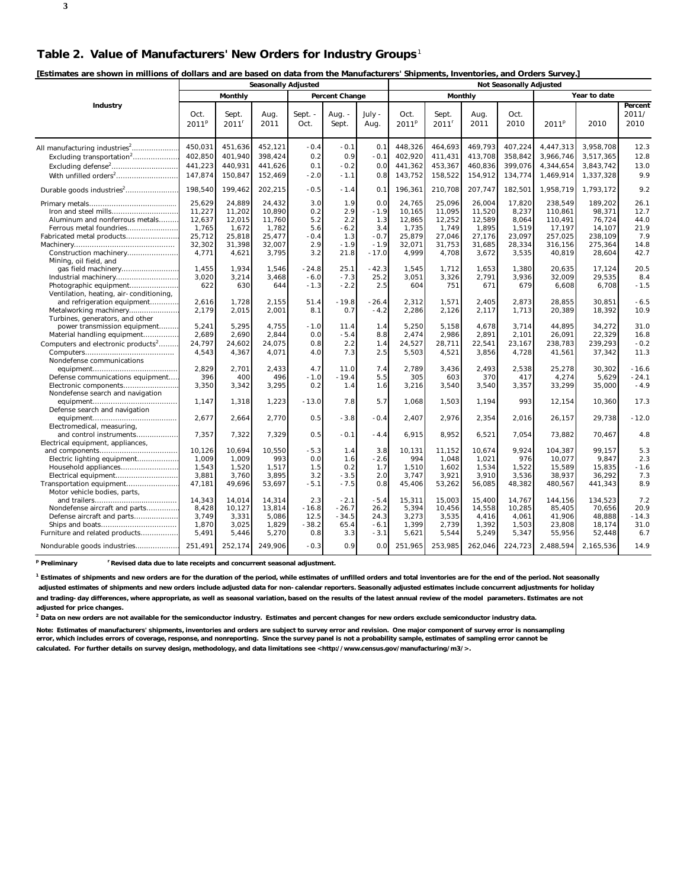| [Estimates are shown in millions of dollars and are based on data from the Manufacturers' Shipments, Inventories, and Orders Survey.] |  |  |
|---------------------------------------------------------------------------------------------------------------------------------------|--|--|
|                                                                                                                                       |  |  |

|                                                                                                                                                                                                                 | <b>Seasonally Adjusted</b>                                       |                                                                  |                                                                  |                                                    |                                                      |                                                            | <b>Not Seasonally Adjusted</b>                                   |                                                                  |                                                                  |                                                                |                                                                         |                                                                       |                                                     |
|-----------------------------------------------------------------------------------------------------------------------------------------------------------------------------------------------------------------|------------------------------------------------------------------|------------------------------------------------------------------|------------------------------------------------------------------|----------------------------------------------------|------------------------------------------------------|------------------------------------------------------------|------------------------------------------------------------------|------------------------------------------------------------------|------------------------------------------------------------------|----------------------------------------------------------------|-------------------------------------------------------------------------|-----------------------------------------------------------------------|-----------------------------------------------------|
|                                                                                                                                                                                                                 |                                                                  | Monthly                                                          |                                                                  |                                                    | Percent Change                                       |                                                            |                                                                  | Monthly                                                          |                                                                  |                                                                |                                                                         | Year to date                                                          |                                                     |
| Industry                                                                                                                                                                                                        | Oct.<br>2011 <sup>p</sup>                                        | Sept.<br>2011 <sup>r</sup>                                       | Aug.<br>2011                                                     | Sept. -<br>Oct.                                    | Aug. -<br>Sept.                                      | July -<br>Aug.                                             | Oct.<br>2011 <sup>p</sup>                                        | Sept.<br>2011 <sup>r</sup>                                       | Aug.<br>2011                                                     | Oct.<br>2010                                                   | 2011 <sup>p</sup>                                                       | 2010                                                                  | Percent<br>2011/<br>2010                            |
| All manufacturing industries <sup>2</sup><br>Excluding transportation <sup>2</sup><br>Excluding defense <sup>2</sup>                                                                                            | 450,031<br>402,850<br>441,223<br>147,874                         | 451,636<br>401,940<br>440,931<br>150,847                         | 452,121<br>398,424<br>441,626<br>152,469                         | $-0.4$<br>0.2<br>0.1<br>$-2.0$                     | $-0.1$<br>0.9<br>$-0.2$<br>$-1.1$                    | 0.1<br>$-0.1$<br>0.0<br>0.8                                | 448,326<br>402,920<br>441,362<br>143,752                         | 464,693<br>411,431<br>453,367<br>158,522                         | 469,793<br>413,708<br>460,836<br>154,912                         | 407,224<br>358,842<br>399,076<br>134,774                       | 4,447,313<br>3,966,746<br>4,344,654<br>1,469,914                        | 3,958,708<br>3,517,365<br>3,843,742<br>1,337,328                      | 12.3<br>12.8<br>13.0<br>9.9                         |
| Durable goods industries <sup>2</sup>                                                                                                                                                                           | 198,540                                                          | 199,462                                                          | 202,215                                                          | $-0.5$                                             | $-1.4$                                               | 0.1                                                        | 196,361                                                          | 210,708                                                          | 207,747                                                          | 182,501                                                        | 1,958,719                                                               | 1,793,172                                                             | 9.2                                                 |
| Iron and steel mills<br>Aluminum and nonferrous metals<br>Ferrous metal foundries<br>Fabricated metal products<br>Construction machinery                                                                        | 25,629<br>11,227<br>12,637<br>1,765<br>25,712<br>32.302<br>4,771 | 24,889<br>11,202<br>12,015<br>1,672<br>25,818<br>31.398<br>4,621 | 24,432<br>10,890<br>11,760<br>1,782<br>25,477<br>32.007<br>3,795 | 3.0<br>0.2<br>5.2<br>5.6<br>$-0.4$<br>2.9<br>3.2   | 1.9<br>2.9<br>2.2<br>$-6.2$<br>1.3<br>$-1.9$<br>21.8 | 0.0<br>$-1.9$<br>1.3<br>3.4<br>$-0.7$<br>$-1.9$<br>$-17.0$ | 24,765<br>10,165<br>12,865<br>1,735<br>25,879<br>32.071<br>4.999 | 25.096<br>11,095<br>12,252<br>1,749<br>27,046<br>31.753<br>4,708 | 26.004<br>11,520<br>12,589<br>1,895<br>27,176<br>31.685<br>3,672 | 17.820<br>8,237<br>8,064<br>1,519<br>23,097<br>28.334<br>3,535 | 238,549<br>110,861<br>110,491<br>17,197<br>257,025<br>316.156<br>40,819 | 189,202<br>98,371<br>76,724<br>14,107<br>238,109<br>275.364<br>28,604 | 26.1<br>12.7<br>44.0<br>21.9<br>7.9<br>14.8<br>42.7 |
| Mining, oil field, and<br>Industrial machinery<br>Photographic equipment<br>Ventilation, heating, air-conditioning,<br>and refrigeration equipment<br>Metalworking machinery<br>Turbines, generators, and other | 1.455<br>3,020<br>622<br>2,616<br>2,179                          | 1.934<br>3,214<br>630<br>1,728<br>2,015                          | 1.546<br>3,468<br>644<br>2,155<br>2,001                          | $-24.8$<br>$-6.0$<br>$-1.3$<br>51.4<br>8.1         | 25.1<br>$-7.3$<br>$-2.2$<br>$-19.8$<br>0.7           | $-42.3$<br>25.2<br>2.5<br>$-26.4$<br>$-4.2$                | 1.545<br>3,051<br>604<br>2,312<br>2,286                          | 1,712<br>3,326<br>751<br>1,571<br>2,126                          | 1.653<br>2,791<br>671<br>2,405<br>2,117                          | 1.380<br>3,936<br>679<br>2,873<br>1,713                        | 20.635<br>32,009<br>6,608<br>28,855<br>20,389                           | 17.124<br>29,535<br>6,708<br>30,851<br>18,392                         | 20.5<br>8.4<br>$-1.5$<br>$-6.5$<br>10.9             |
| power transmission equipment<br>Material handling equipment<br>Computers and electronic products <sup>2</sup><br>Nondefense communications                                                                      | 5,241<br>2,689<br>24,797<br>4,543                                | 5,295<br>2,690<br>24,602<br>4,367                                | 4,755<br>2,844<br>24,075<br>4,071                                | $-1.0$<br>0.0<br>0.8<br>4.0                        | 11.4<br>$-5.4$<br>2.2<br>7.3                         | 1.4<br>8.8<br>1.4<br>2.5                                   | 5,250<br>2,474<br>24,527<br>5,503                                | 5,158<br>2,986<br>28,711<br>4,521                                | 4,678<br>2,891<br>22,541<br>3,856                                | 3,714<br>2,101<br>23,167<br>4,728                              | 44,895<br>26,091<br>238,783<br>41,561                                   | 34,272<br>22,329<br>239,293<br>37,342                                 | 31.0<br>16.8<br>$-0.2$<br>11.3                      |
| Defense communications equipment<br>Electronic components<br>Nondefense search and navigation                                                                                                                   | 2.829<br>396<br>3,350<br>1,147                                   | 2.701<br>400<br>3,342<br>1,318                                   | 2,433<br>496<br>3,295<br>1,223                                   | 4.7<br>$-1.0$<br>0.2<br>$-13.0$                    | 11.0<br>$-19.4$<br>1.4<br>7.8                        | 7.4<br>5.5<br>1.6<br>5.7                                   | 2.789<br>305<br>3,216<br>1,068                                   | 3,436<br>603<br>3,540<br>1,503                                   | 2.493<br>370<br>3.540<br>1,194                                   | 2,538<br>417<br>3,357<br>993                                   | 25,278<br>4.274<br>33,299<br>12,154                                     | 30,302<br>5.629<br>35,000<br>10.360                                   | $-16.6$<br>$-24.1$<br>$-4.9$<br>17.3                |
| Defense search and navigation<br>Electromedical, measuring,<br>and control instruments                                                                                                                          | 2,677<br>7,357                                                   | 2,664<br>7,322                                                   | 2,770<br>7,329                                                   | 0.5<br>0.5                                         | $-3.8$<br>$-0.1$                                     | $-0.4$<br>$-4.4$                                           | 2,407<br>6,915                                                   | 2,976<br>8,952                                                   | 2,354<br>6,521                                                   | 2,016<br>7,054                                                 | 26,157<br>73,882                                                        | 29,738<br>70,467                                                      | $-12.0$<br>4.8                                      |
| Electrical equipment, appliances,<br>Electric lighting equipment<br>Household appliances<br>Electrical equipment<br>Transportation equipment                                                                    | 10,126<br>1,009<br>1,543<br>3,881<br>47,181                      | 10,694<br>1,009<br>1,520<br>3,760<br>49,696                      | 10,550<br>993<br>1,517<br>3,895<br>53,697                        | $-5.3$<br>0.0<br>1.5<br>3.2<br>$-5.1$              | 1.4<br>1.6<br>0.2<br>$-3.5$<br>$-7.5$                | 3.8<br>$-2.6$<br>1.7<br>2.0<br>0.8                         | 10,131<br>994<br>1,510<br>3,747<br>45,406                        | 11,152<br>1,048<br>1,602<br>3,921<br>53,262                      | 10,674<br>1,021<br>1,534<br>3,910<br>56,085                      | 9,924<br>976<br>1,522<br>3,536<br>48,382                       | 104,387<br>10,077<br>15,589<br>38,937<br>480,567                        | 99.157<br>9,847<br>15,835<br>36,292<br>441,343                        | 5.3<br>2.3<br>$-1.6$<br>7.3<br>8.9                  |
| Motor vehicle bodies, parts,<br>Nondefense aircraft and parts<br>Defense aircraft and parts<br>Furniture and related products<br>Nondurable goods industries                                                    | 14.343<br>8,428<br>3.749<br>1,870<br>5,491<br>251.491            | 14.014<br>10,127<br>3,331<br>3,025<br>5,446<br>252,174           | 14.314<br>13.814<br>5,086<br>1,829<br>5,270<br>249.906           | 2.3<br>$-16.8$<br>12.5<br>$-38.2$<br>0.8<br>$-0.3$ | $-2.1$<br>$-26.7$<br>$-34.5$<br>65.4<br>3.3<br>0.9   | $-5.4$<br>26.2<br>24.3<br>$-6.1$<br>$-3.1$<br>0.0          | 15,311<br>5.394<br>3,273<br>1,399<br>5,621<br>251.965            | 15,003<br>10,456<br>3,535<br>2,739<br>5,544<br>253.985           | 15,400<br>14,558<br>4,416<br>1,392<br>5,249<br>262,046           | 14.767<br>10.285<br>4,061<br>1,503<br>5,347<br>224.723         | 144.156<br>85.405<br>41.906<br>23,808<br>55,956<br>2.488.594            | 134.523<br>70.656<br>48,888<br>18,174<br>52,448<br>2.165.536          | 7.2<br>20.9<br>$-14.3$<br>31.0<br>6.7<br>14.9       |

<sup>p</sup> Preliminary <sup>r</sup> Revised data due to late receipts and concurrent seasonal adjustment.

<sup>1</sup> Estimates of shipments and new orders are for the duration of the period, while estimates of unfilled orders and total inventories are for the end of the period. Not seasonally  **adjusted estimates of shipments and new orders include adjusted data for non-calendar reporters. Seasonally adjusted estimates include concurrent adjustments for holiday and trading-day differences, where appropriate, as well as seasonal variation, based on the results of the latest annual review of the model parameters. Estimates are not adjusted for price changes.**

**2 Data on new orders are not available for the semiconductor industry. Estimates and percent changes for new orders exclude semiconductor industry data.**

**Note: Estimates of manufacturers' shipments, inventories and orders are subject to survey error and revision. One major component of survey error is nonsampling error, which includes errors of coverage, response, and nonreporting. Since the survey panel is not a probability sample, estimates of sampling error cannot be calculated. For further details on survey design, methodology, and data limitations see <http://www.census.gov/manufacturing/m3/>.**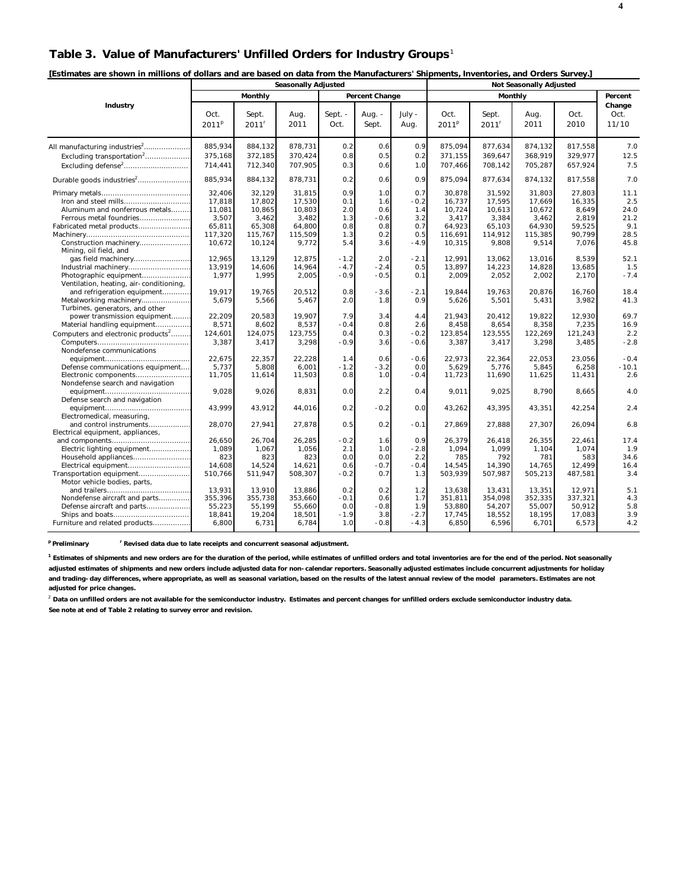## **Table 3. Value of Manufacturers' Unfilled Orders for Industry Groups**<sup>1</sup>

| [Estimates are shown in millions of dollars and are based on data from the Manufacturers' Shipments, Inventories, and Orders Survey.] |  |
|---------------------------------------------------------------------------------------------------------------------------------------|--|
|---------------------------------------------------------------------------------------------------------------------------------------|--|

|                                                                                                                                          | <b>Seasonally Adjusted</b>                                         |                                                                    |                                                                   |                                               |                                                  |                                                     |                                                                    |                                                                   |                                                                   |                                                                 |                                                    |
|------------------------------------------------------------------------------------------------------------------------------------------|--------------------------------------------------------------------|--------------------------------------------------------------------|-------------------------------------------------------------------|-----------------------------------------------|--------------------------------------------------|-----------------------------------------------------|--------------------------------------------------------------------|-------------------------------------------------------------------|-------------------------------------------------------------------|-----------------------------------------------------------------|----------------------------------------------------|
|                                                                                                                                          |                                                                    | Monthly                                                            |                                                                   |                                               | Percent Change                                   |                                                     |                                                                    | Monthly                                                           |                                                                   |                                                                 | Percent                                            |
| Industry                                                                                                                                 | Oct.<br>2011 <sup>p</sup>                                          | Sept.<br>$2011^r$                                                  | Aug.<br>2011                                                      | Sept. -<br>Oct.                               | Aug. -<br>Sept.                                  | July -<br>Aug.                                      | Oct.<br>2011 <sup>p</sup>                                          | Sept.<br>$2011$ <sup>r</sup>                                      | Aug.<br>2011                                                      | Oct.<br>2010                                                    | Change<br>Oct.<br>11/10                            |
| All manufacturing industries <sup>2</sup><br>Excluding transportation <sup>2</sup>                                                       | 885,934<br>375,168<br>714,441                                      | 884,132<br>372,185<br>712,340                                      | 878,731<br>370,424<br>707,905                                     | 0.2<br>0.8<br>0.3                             | 0.6<br>0.5<br>0.6                                | 0.9<br>0.2<br>1.0                                   | 875,094<br>371,155<br>707,466                                      | 877,634<br>369,647<br>708,142                                     | 874,132<br>368,919<br>705,287                                     | 817,558<br>329,977<br>657,924                                   | 7.0<br>12.5<br>7.5                                 |
| Durable goods industries <sup>2</sup>                                                                                                    | 885,934                                                            | 884,132                                                            | 878,731                                                           | 0.2                                           | 0.6                                              | 0.9                                                 | 875,094                                                            | 877,634                                                           | 874,132                                                           | 817,558                                                         | 7.0                                                |
| Iron and steel mills<br>Aluminum and nonferrous metals<br>Ferrous metal foundries<br>Fabricated metal products<br>Construction machinery | 32.406<br>17,818<br>11.081<br>3,507<br>65,811<br>117,320<br>10,672 | 32.129<br>17,802<br>10,865<br>3,462<br>65,308<br>115,767<br>10,124 | 31.815<br>17,530<br>10.803<br>3,482<br>64,800<br>115,509<br>9,772 | 0.9<br>0.1<br>2.0<br>1.3<br>0.8<br>1.3<br>5.4 | 1.0<br>1.6<br>0.6<br>$-0.6$<br>0.8<br>0.2<br>3.6 | 0.7<br>$-0.2$<br>1.4<br>3.2<br>0.7<br>0.5<br>$-4.9$ | 30.878<br>16,737<br>10.724<br>3,417<br>64.923<br>116,691<br>10,315 | 31.592<br>17,595<br>10,613<br>3,384<br>65.103<br>114,912<br>9,808 | 31.803<br>17,669<br>10,672<br>3,462<br>64.930<br>115,385<br>9,514 | 27,803<br>16,335<br>8.649<br>2,819<br>59.525<br>90.799<br>7,076 | 11.1<br>2.5<br>24.0<br>21.2<br>9.1<br>28.5<br>45.8 |
| Mining, oil field, and<br>Photographic equipment<br>Ventilation, heating, air-conditioning,<br>and refrigeration equipment               | 12,965<br>13,919<br>1,977<br>19,917                                | 13,129<br>14,606<br>1,995<br>19,765                                | 12,875<br>14,964<br>2,005<br>20,512                               | $-1.2$<br>$-4.7$<br>$-0.9$<br>0.8             | 2.0<br>$-2.4$<br>$-0.5$<br>$-3.6$                | $-2.1$<br>0.5<br>0.1<br>$-2.1$                      | 12,991<br>13,897<br>2,009<br>19,844                                | 13,062<br>14,223<br>2,052<br>19,763                               | 13,016<br>14,828<br>2,002<br>20,876                               | 8,539<br>13,685<br>2,170<br>16,760                              | 52.1<br>1.5<br>$-7.4$<br>18.4                      |
| Metalworking machinery<br>Turbines, generators, and other<br>power transmission equipment<br>Material handling equipment                 | 5,679<br>22,209<br>8,571                                           | 5,566<br>20,583<br>8,602                                           | 5,467<br>19,907<br>8,537                                          | 2.0<br>7.9<br>$-0.4$                          | 1.8<br>3.4<br>0.8                                | 0.9<br>4.4<br>2.6                                   | 5,626<br>21,943<br>8,458                                           | 5,501<br>20.412<br>8,654                                          | 5,431<br>19.822<br>8,358                                          | 3,982<br>12,930<br>7,235                                        | 41.3<br>69.7<br>16.9                               |
| Computers and electronic products <sup>2</sup><br>Nondefense communications                                                              | 124,601<br>3,387<br>22,675                                         | 124,075<br>3,417<br>22,357                                         | 123,755<br>3,298<br>22,228                                        | 0.4<br>$-0.9$<br>1.4                          | 0.3<br>3.6<br>0.6                                | $-0.2$<br>$-0.6$<br>$-0.6$                          | 123,854<br>3,387<br>22,973                                         | 123,555<br>3,417<br>22,364                                        | 122,269<br>3,298<br>22,053                                        | 121,243<br>3,485<br>23,056                                      | 2.2<br>$-2.8$<br>$-0.4$                            |
| Defense communications equipment<br>Electronic components<br>Nondefense search and navigation                                            | 5,737<br>11,705                                                    | 5,808<br>11,614                                                    | 6.001<br>11,503                                                   | $-1.2$<br>0.8                                 | $-3.2$<br>1.0                                    | 0.0<br>$-0.4$                                       | 5,629<br>11,723                                                    | 5.776<br>11,690                                                   | 5,845<br>11,625                                                   | 6,258<br>11,431                                                 | $-10.1$<br>2.6                                     |
| Defense search and navigation<br>Electromedical, measuring,                                                                              | 9,028<br>43.999                                                    | 9.026<br>43,912                                                    | 8,831<br>44,016                                                   | 0.0<br>0.2                                    | 2.2<br>$-0.2$                                    | 0.4<br>0.0                                          | 9.011<br>43,262                                                    | 9,025<br>43,395                                                   | 8,790<br>43,351                                                   | 8,665<br>42,254                                                 | 4.0<br>2.4                                         |
| and control instruments<br>Electrical equipment, appliances,                                                                             | 28,070                                                             | 27,941                                                             | 27,878                                                            | 0.5                                           | 0.2                                              | $-0.1$                                              | 27,869                                                             | 27,888                                                            | 27,307                                                            | 26,094                                                          | 6.8                                                |
| Electric lighting equipment<br>Household appliances<br>Electrical equipment<br>Transportation equipment<br>Motor vehicle bodies, parts,  | 26,650<br>1,089<br>823<br>14,608<br>510,766                        | 26,704<br>1,067<br>823<br>14,524<br>511,947                        | 26,285<br>1,056<br>823<br>14,621<br>508,307                       | $-0.2$<br>2.1<br>0.0<br>0.6<br>$-0.2$         | 1.6<br>1.0<br>0.0<br>$-0.7$<br>0.7               | 0.9<br>$-2.8$<br>2.2<br>$-0.4$<br>1.3               | 26,379<br>1.094<br>785<br>14,545<br>503,939                        | 26,418<br>1,099<br>792<br>14,390<br>507,987                       | 26,355<br>1,104<br>781<br>14.765<br>505,213                       | 22,461<br>1.074<br>583<br>12,499<br>487,581                     | 17.4<br>1.9<br>34.6<br>16.4<br>3.4                 |
| Nondefense aircraft and parts<br>Defense aircraft and parts<br>Furniture and related products                                            | 13,931<br>355,396<br>55,223<br>18,841<br>6,800                     | 13,910<br>355,738<br>55,199<br>19,204<br>6,731                     | 13,886<br>353,660<br>55,660<br>18,501<br>6,784                    | 0.2<br>$-0.1$<br>0.0<br>$-1.9$<br>1.0         | 0.2<br>0.6<br>$-0.8$<br>3.8<br>$-0.8$            | 1.2<br>1.7<br>1.9<br>$-2.7$<br>$-4.3$               | 13,638<br>351,811<br>53,880<br>17,745<br>6,850                     | 13,431<br>354,098<br>54,207<br>18,552<br>6,596                    | 13,351<br>352,335<br>55,007<br>18,195<br>6,701                    | 12,971<br>337,321<br>50,912<br>17,083<br>6,573                  | 5.1<br>4.3<br>5.8<br>3.9<br>4.2                    |

<sup>p</sup> Preliminary <sup>r</sup> Revised data due to late receipts and concurrent seasonal adjustment.

<sup>1</sup> Estimates of shipments and new orders are for the duration of the period, while estimates of unfilled orders and total inventories are for the end of the period. Not seasonally **adjusted estimates of shipments and new orders include adjusted data for non-calendar reporters. Seasonally adjusted estimates include concurrent adjustments for holiday and trading-day differences, where appropriate, as well as seasonal variation, based on the results of the latest annual review of the model parameters. Estimates are not adjusted for price changes.**

<sup>2</sup> Data on unfilled orders are not available for the semiconductor industry. Estimates and percent changes for unfilled orders exclude semiconductor industry data. **See note at end of Table 2 relating to survey error and revision.**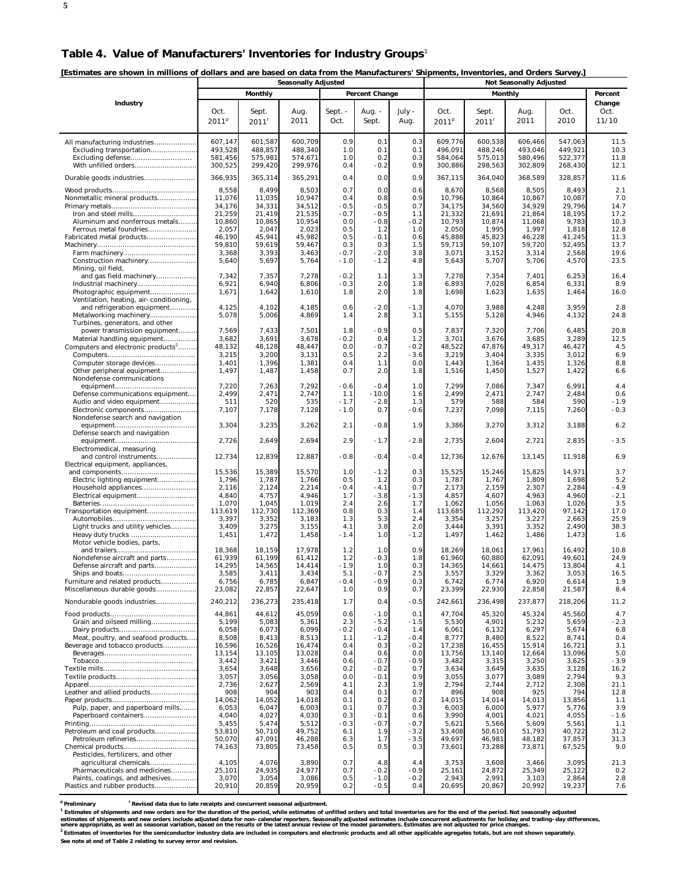**[Estimates are shown in millions of dollars and are based on data from the Manufacturers' Shipments, Inventories, and Orders Survey.]** 

|                                                                        | LESUTTRICS ALC SHOWN IN HIMNUS OF QUIRES AND ALC DASCU ON QATA HOM THE MANUFACTULERS SHIPHICHTS, MIVEHTOLICS, AND ORDERS SUPPORTS<br><b>Seasonally Adjusted</b> |                    |                    |                  |                  |               |                    |                     |                                |                    |                  |
|------------------------------------------------------------------------|-----------------------------------------------------------------------------------------------------------------------------------------------------------------|--------------------|--------------------|------------------|------------------|---------------|--------------------|---------------------|--------------------------------|--------------------|------------------|
|                                                                        |                                                                                                                                                                 | Monthly            |                    |                  | Percent Change   |               |                    | Monthly             | <b>Not Seasonally Adjusted</b> |                    | Percent          |
| Industry                                                               |                                                                                                                                                                 |                    |                    |                  |                  |               |                    |                     |                                |                    | Change           |
|                                                                        | Oct.                                                                                                                                                            | Sept.              | Aug.               | Sept. -          | Aug. $-$         | July -        | Oct.               | Sept.               | Aug.                           | Oct.               | Oct.             |
|                                                                        | 2011 <sup>p</sup>                                                                                                                                               | 2011 <sup>r</sup>  | 2011               | Oct.             | Sept.            | Aug.          | 2011 <sup>p</sup>  | $2011$ <sup>r</sup> | 2011                           | 2010               | 11/10            |
|                                                                        |                                                                                                                                                                 |                    |                    |                  |                  |               |                    |                     |                                |                    |                  |
| All manufacturing industries                                           | 607,147                                                                                                                                                         | 601,587            | 600,709            | 0.9              | 0.1              | 0.3           | 609,776            | 600,538             | 606,466                        | 547.063            | 11.5             |
| Excluding transportation                                               | 493,528                                                                                                                                                         | 488,857            | 488,340            | 1.0<br>1.0       | 0.1<br>0.2       | 0.1<br>0.3    | 496.091            | 488,246             | 493,046                        | 449,921            | 10.3<br>11.8     |
| Excluding defense<br>With unfilled orders                              | 581,456<br>300,525                                                                                                                                              | 575,981<br>299,420 | 574,671<br>299,976 | 0.4              | $-0.2$           | 0.9           | 584,064<br>300,886 | 575,013<br>298,563  | 580,496<br>302,809             | 522,377<br>268,430 | 12.1             |
|                                                                        |                                                                                                                                                                 |                    |                    |                  |                  |               |                    |                     |                                |                    |                  |
|                                                                        | 366,935                                                                                                                                                         | 365,314            | 365,291            | 0.4              | 0.0              | 0.9           | 367,115            | 364,040             | 368,589                        | 328,857            | 11.6             |
| Nonmetallic mineral products                                           | 8,558<br>11,076                                                                                                                                                 | 8,499<br>11,035    | 8,503<br>10,947    | 0.7<br>0.4       | 0.0<br>0.8       | 0.6<br>0.9    | 8,670<br>10,796    | 8,568<br>10,864     | 8,505<br>10,867                | 8,493<br>10,087    | 2.1<br>7.0       |
|                                                                        | 34,176                                                                                                                                                          | 34,331             | 34,512             | $-0.5$           | $-0.5$           | 0.7           | 34,175             | 34,560              | 34,929                         | 29,796             | 14.7             |
|                                                                        | 21,259                                                                                                                                                          | 21,419             | 21,535             | $-0.7$           | $-0.5$           | 1.1           | 21,332             | 21,691              | 21,864                         | 18,195             | 17.2             |
| Aluminum and nonferrous metals                                         | 10,860                                                                                                                                                          | 10,865             | 10,954             | 0.0              | $-0.8$           | $-0.2$        | 10,793             | 10,874              | 11,068                         | 9,783              | 10.3             |
| Ferrous metal foundries<br>Fabricated metal products                   | 2,057<br>46,190                                                                                                                                                 | 2,047<br>45,941    | 2,023<br>45,982    | 0.5<br>0.5       | 1.2<br>$-0.1$    | 1.0<br>0.6    | 2,050<br>45,888    | 1,995<br>45,823     | 1,997<br>46,228                | 1,818<br>41,245    | 12.8<br>11.3     |
|                                                                        | 59,810                                                                                                                                                          | 59,619             | 59,467             | 0.3              | 0.3              | 1.5           | 59,713             | 59,107              | 59,720                         | 52,495             | 13.7             |
|                                                                        | 3,368                                                                                                                                                           | 3,393              | 3,463              | $-0.7$           | $-2.0$           | 3.8           | 3,071              | 3,152               | 3,314                          | 2,568              | 19.6             |
| Construction machinery<br>Mining, oil field,                           | 5,640                                                                                                                                                           | 5,697              | 5,764              | $-1.0$           | $-1.2$           | 4.8           | 5,643              | 5,707               | 5,706                          | 4,570              | 23.5             |
| and gas field machinery                                                | 7,342                                                                                                                                                           | 7,357              | 7,278              | $-0.2$           | 1.1              | 1.3           | 7,278              | 7,354               | 7,401                          | 6,253              | 16.4             |
| Industrial machinery                                                   | 6,921                                                                                                                                                           | 6,940              | 6,806              | $-0.3$           | 2.0              | 1.8           | 6,893              | 7,028               | 6,854                          | 6,331              | 8.9              |
| Photographic equipment                                                 | 1,671                                                                                                                                                           | 1,642              | 1,610              | 1.8              | 2.0              | 1.8           | 1,698              | 1,623               | 1,635                          | 1,464              | 16.0             |
| Ventilation, heating, air-conditioning,<br>and refrigeration equipment | 4,125                                                                                                                                                           | 4,102              | 4,185              | 0.6              | $-2.0$           | $-1.3$        | 4,070              | 3,988               | 4,248                          | 3,959              | 2.8              |
| Metalworking machinery                                                 | 5,078                                                                                                                                                           | 5,006              | 4,869              | 1.4              | 2.8              | 3.1           | 5,155              | 5,128               | 4,946                          | 4,132              | 24.8             |
| Turbines, generators, and other                                        |                                                                                                                                                                 |                    |                    |                  |                  |               |                    |                     |                                |                    |                  |
| power transmission equipment<br>Material handling equipment            | 7,569<br>3,682                                                                                                                                                  | 7,433<br>3,691     | 7,501<br>3,678     | 1.8<br>$-0.2$    | $-0.9$<br>0.4    | 0.5<br>1.2    | 7,837<br>3,701     | 7,320<br>3,676      | 7,706<br>3,685                 | 6,485<br>3,289     | 20.8<br>12.5     |
| Computers and electronic products <sup>2</sup>                         | 48,132                                                                                                                                                          | 48,128             | 48,447             | 0.0              | $-0.7$           | $-0.2$        | 48,522             | 47,876              | 49,317                         | 46,427             | 4.5              |
|                                                                        | 3,215                                                                                                                                                           | 3,200              | 3,131              | 0.5              | 2.2              | $-3.6$        | 3,219              | 3,404               | 3,335                          | 3,012              | 6.9              |
| Computer storage devices                                               | 1,401                                                                                                                                                           | 1,396              | 1,381              | 0.4              | 1.1              | 0.0           | 1,443              | 1,364               | 1,435                          | 1,326              | 8.8              |
| Other peripheral equipment<br>Nondefense communications                | 1,497                                                                                                                                                           | 1,487              | 1,458              | 0.7              | 2.0              | 1.8           | 1,516              | 1,450               | 1,527                          | 1,422              | 6.6              |
|                                                                        | 7,220                                                                                                                                                           | 7,263              | 7,292              | $-0.6$           | $-0.4$           | 1.0           | 7,299              | 7,086               | 7,347                          | 6,991              | 4.4              |
| Defense communications equipment                                       | 2,499                                                                                                                                                           | 2,471              | 2,747              | 1.1              | $-10.0$          | 1.6           | 2,499              | 2,471               | 2,747                          | 2,484              | 0.6              |
| Audio and video equipment<br>Electronic components                     | 511<br>7,107                                                                                                                                                    | 520<br>7,178       | 535<br>7,128       | $-1.7$<br>$-1.0$ | $-2.8$<br>0.7    | 1.3<br>$-0.6$ | 579<br>7,237       | 588<br>7,098        | 584<br>7,115                   | 590<br>7,260       | $-1.9$<br>$-0.3$ |
| Nondefense search and navigation                                       |                                                                                                                                                                 |                    |                    |                  |                  |               |                    |                     |                                |                    |                  |
|                                                                        | 3,304                                                                                                                                                           | 3,235              | 3,262              | 2.1              | $-0.8$           | 1.9           | 3,386              | 3,270               | 3,312                          | 3,188              | 6.2              |
| Defense search and navigation                                          |                                                                                                                                                                 |                    |                    | 2.9              |                  | $-2.8$        |                    |                     |                                |                    | $-3.5$           |
| Electromedical, measuring                                              | 2,726                                                                                                                                                           | 2,649              | 2,694              |                  | $-1.7$           |               | 2,735              | 2,604               | 2,721                          | 2,835              |                  |
| and control instruments                                                | 12,734                                                                                                                                                          | 12,839             | 12,887             | $-0.8$           | $-0.4$           | $-0.4$        | 12,736             | 12,676              | 13,145                         | 11,918             | 6.9              |
| Electrical equipment, appliances,                                      |                                                                                                                                                                 |                    |                    |                  |                  |               |                    |                     |                                |                    |                  |
| Electric lighting equipment                                            | 15,536<br>1,796                                                                                                                                                 | 15,389<br>1,787    | 15,570<br>1,766    | 1.0<br>0.5       | $-1.2$<br>1.2    | 0.3<br>0.3    | 15,525<br>1,787    | 15,246<br>1,767     | 15,825<br>1,809                | 14,971<br>1,698    | 3.7<br>5.2       |
|                                                                        | 2,116                                                                                                                                                           | 2,124              | 2,214              | $-0.4$           | -4.1             | 0.7           | 2,173              | 2,159               | 2,307                          | 2,284              | $-4.9$           |
| Electrical equipment                                                   | 4,840                                                                                                                                                           | 4,757              | 4,946              | 1.7              | $-3.8$           | $-1.3$        | 4,857              | 4,607               | 4,963                          | 4,960              | $-2.1$           |
| Transportation equipment                                               | 1,070<br>113,619                                                                                                                                                | 1,045<br>112,730   | 1,019<br>112,369   | 2.4<br>0.8       | 2.6<br>0.3       | 1.7<br>1.4    | 1,062<br>113,685   | 1,056<br>112,292    | 1,063<br>113,420               | 1,026<br>97,142    | 3.5<br>17.0      |
|                                                                        | 3,397                                                                                                                                                           | 3,352              | 3,183              | 1.3              | 5.3              | 2.4           | 3,354              | 3,257               | 3,227                          | 2,663              | 25.9             |
| Light trucks and utility vehicles                                      | 3,409                                                                                                                                                           | 3,275              | 3,155              | 4.1              | 3.8              | 2.0           | 3,444              | 3,391               | 3,352                          | 2,490              | 38.3             |
| Heavy duty trucks<br>Motor vehicle bodies, parts,                      | 1,451                                                                                                                                                           | 1,472              | 1,458              | $-1.4$           | 1.0              | $-1.2$        | 1,497              | 1,462               | 1,486                          | 1,473              | 1.6              |
|                                                                        | 18,368                                                                                                                                                          | 18,159             | 17,978             | 1.2              | 1.0              | 0.9           | 18,269             | 18,061              | 17,961                         | 16,492             | 10.8             |
| Nondefense aircraft and parts                                          | 61,939                                                                                                                                                          | 61.199             | 61,412             | 1.2              | $-0.3$           | 1.8           | 61,960             | 60,880              | 62,091                         | 49,601             | 24.9             |
| Defense aircraft and parts                                             | 14,295                                                                                                                                                          | 14,565             | 14,414             | $-1.9$<br>5.1    | 1.0<br>$-0.7$    | 0.3<br>2.5    | 14,365             | 14,661              | 14,475                         | 13,804             | 4.1              |
| Furniture and related products                                         | 3,585<br>6,756                                                                                                                                                  | 3,411<br>6,785     | 3,434<br>6,847     | $-0.4$           | $-0.9$           | 0.3           | 3,557<br>6,742     | 3,329<br>6,774      | 3,362<br>6,920                 | 3,053<br>6,614     | 16.5<br>1.9      |
| Miscellaneous durable goods                                            | 23,082                                                                                                                                                          | 22,857             | 22,647             | 1.0              | 0.9              | 0.7           | 23,399             | 22,930              | 22,858                         | 21,587             | 8.4              |
| Nondurable goods industries                                            | 240,212                                                                                                                                                         | 236,273            | 235,418            | 1.7              | 0.4              | $-0.5$        | 242,661            | 236,498             | 237,877                        | 218,206            | 11.2             |
|                                                                        |                                                                                                                                                                 | 44,612             | 45,059             | 0.6              |                  | 0.1           | 47,704             | 45,320              | 45,324                         | 45,560             |                  |
| Grain and oilseed milling                                              | 44,861<br>5,199                                                                                                                                                 | 5,083              | 5,361              | 2.3              | $-1.0$<br>$-5.2$ | $-1.5$        | 5,530              | 4,901               | 5,232                          | 5,659              | 4.7<br>$-2.3$    |
|                                                                        | 6,058                                                                                                                                                           | 6,073              | 6,099              | $-0.2$           | $-0.4$           | 1.4           | 6,061              | 6,132               | 6,297                          | 5,674              | 6.8              |
| Meat, poultry, and seafood products                                    | 8,508                                                                                                                                                           | 8,413              | 8,513              | 1.1              | $-1.2$           | $-0.4$        | 8,777              | 8,480               | 8,522                          | 8,741              | 0.4              |
| Beverage and tobacco products                                          | 16,596<br>13,154                                                                                                                                                | 16,526<br>13,105   | 16,474<br>13,028   | 0.4<br>0.4       | 0.3<br>0.6       | $-0.2$<br>0.0 | 17,238<br>13,756   | 16,455<br>13,140    | 15,914<br>12,664               | 16,721<br>13,096   | 3.1<br>5.0       |
|                                                                        | 3,442                                                                                                                                                           | 3,421              | 3,446              | 0.6              | $-0.7$           | $-0.9$        | 3,482              | 3,315               | 3,250                          | 3,625              | $-3.9$           |
|                                                                        | 3,654                                                                                                                                                           | 3,648              | 3,656              | 0.2              | $-0.2$           | 0.7           | 3,634              | 3,649               | 3,635                          | 3,128              | 16.2             |
|                                                                        | 3,057<br>2,736                                                                                                                                                  | 3,056<br>2,627     | 3,058<br>2,569     | 0.0<br>4.1       | -0.1<br>2.3      | 0.9<br>1.9    | 3,055<br>2,794     | 3,077<br>2,744      | 3,089<br>2,712                 | 2,794<br>2,308     | 9.3<br>21.1      |
| Leather and allied products                                            | 908                                                                                                                                                             | 904                | 903                | 0.4              | 0.1              | 0.7           | 896                | 908                 | 925                            | 794                | 12.8             |
|                                                                        | 14,062                                                                                                                                                          | 14,052             | 14,018             | 0.1              | 0.2              | 0.2           | 14,015             | 14,014              | 14,013                         | 13,856             | 1.1              |
| Pulp, paper, and paperboard mills                                      | 6,053                                                                                                                                                           | 6,047<br>4,027     | 6,003              | 0.1              | 0.7              | 0.3           | 6,003              | 6,000               | 5,977                          | 5,776              | 3.9              |
| Paperboard containers                                                  | 4,040<br>5,455                                                                                                                                                  | 5,474              | 4,030<br>5,512     | 0.3<br>$-0.3$    | $-0.1$<br>$-0.7$ | 0.6<br>$-0.7$ | 3,990<br>5,621     | 4,001<br>5,566      | 4,021<br>5,609                 | 4,055<br>5,561     | $-1.6$<br>1.1    |
| Petroleum and coal products                                            | 53,810                                                                                                                                                          | 50,710             | 49,752             | 6.1              | 1.9              | $-3.2$        | 53,408             | 50,610              | 51,793                         | 40,722             | 31.2             |
| Petroleum refineries                                                   | 50,070                                                                                                                                                          | 47,091             | 46,288             | 6.3              | 1.7              | $-3.5$        | 49,697             | 46,981              | 48,182                         | 37,857             | 31.3             |
| Pesticides, fertilizers, and other                                     | 74,163                                                                                                                                                          | 73,805             | 73,458             | 0.5              | 0.5              | 0.3           | 73,601             | 73,288              | 73,871                         | 67,525             | 9.0              |
| agricultural chemicals                                                 | 4,105                                                                                                                                                           | 4,076              | 3,890              | 0.7              | 4.8              | 4.4           | 3,753              | 3,608               | 3,466                          | 3,095              | 21.3             |
| Pharmaceuticals and medicines                                          | 25,101                                                                                                                                                          | 24,935             | 24,977             | 0.7              | $-0.2$           | $-0.9$        | 25,161             | 24,872              | 25,349                         | 25,122             | 0.2              |
| Paints, coatings, and adhesives<br>Plastics and rubber products        | 3,070<br>20,910                                                                                                                                                 | 3,054<br>20,859    | 3,086<br>20,959    | 0.5<br>0.2       | $-1.0$<br>$-0.5$ | $-0.2$<br>0.4 | 2,943<br>20,695    | 2,991<br>20,867     | 3,103<br>20,992                | 2,864<br>19,237    | 2.8<br>7.6       |
|                                                                        |                                                                                                                                                                 |                    |                    |                  |                  |               |                    |                     |                                |                    |                  |

**p Preliminary r Revised data due to late receipts and concurrent seasonal adjustment.**

<sup>1</sup> Estimates of shipments and new orders are for the duration of the period, while estimates of unfilled orders and total inventories are for the end of the period. Not seasonally adjusted estimates of shipments and new orders include adtor and nor on ecalendar reporters. Seasonally adjusted estimates include concurrent adjustments for holiday and trading-day differences,<br>where appropriate, as well as season **2** Estimates of inventories for the semiconductor industry data are included in computers and electronic products and all other applicable agregates totals, but are not shown separately. **See note at end of Table 2 relating to survey error and revision.**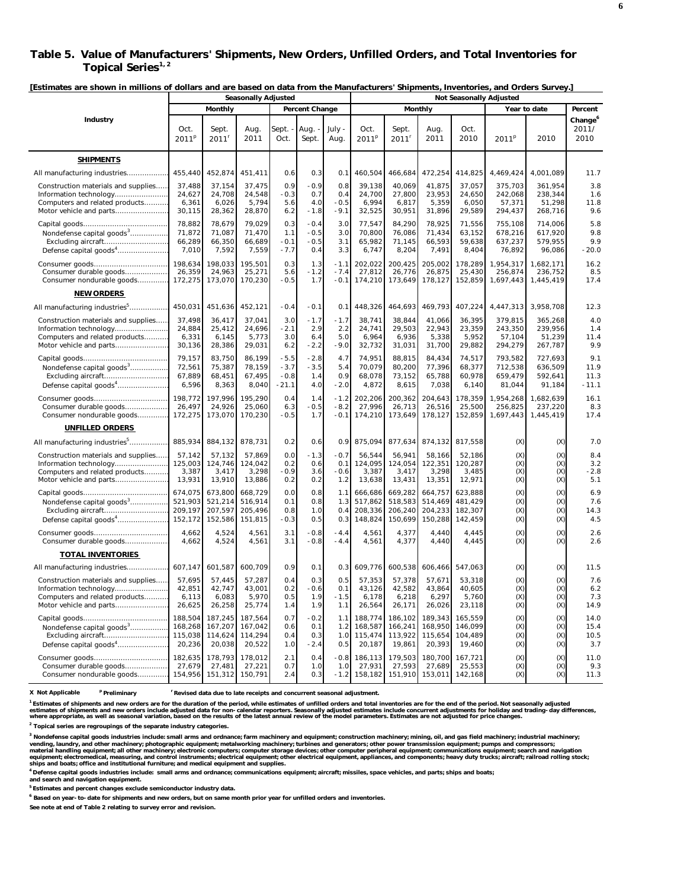### **Table 5. Value of Manufacturers' Shipments, New Orders, Unfilled Orders, and Total Inventories for**  Topical Series<sup>1, 2</sup>

**[Estimates are shown in millions of dollars and are based on data from the Manufacturers' Shipments, Inventories, and Orders Survey.]** 

|                                                                                                                            | <b>Seasonally Adjusted</b>               |                                          |                                          |                                       |                                   | <b>Not Seasonally Adjusted</b> |                                          |                                          |                                          |                                          |                                         |                                         |                                      |
|----------------------------------------------------------------------------------------------------------------------------|------------------------------------------|------------------------------------------|------------------------------------------|---------------------------------------|-----------------------------------|--------------------------------|------------------------------------------|------------------------------------------|------------------------------------------|------------------------------------------|-----------------------------------------|-----------------------------------------|--------------------------------------|
|                                                                                                                            |                                          | Monthly                                  |                                          |                                       | Percent Change                    |                                |                                          |                                          | Monthly                                  |                                          |                                         | Year to date                            | Percent                              |
| Industry                                                                                                                   | Oct.<br>2011 <sup>p</sup>                | Sept.<br>2011                            | Aug.<br>2011                             | Sept.<br>Oct.                         | Aug. -<br>Sept.                   | July -<br>Aug.                 | Oct.<br>2011 <sup>p</sup>                | Sept.<br>$2011^r$                        | Aug.<br>2011                             | Oct.<br>2010                             | 2011 <sup>p</sup>                       | 2010                                    | Change <sup>6</sup><br>2011/<br>2010 |
| <b>SHIPMENTS</b>                                                                                                           |                                          |                                          |                                          |                                       |                                   |                                |                                          |                                          |                                          |                                          |                                         |                                         |                                      |
| All manufacturing industries                                                                                               | 455,440                                  | 452,874                                  | 451,411                                  | 0.6                                   | 0.3                               | 0.1                            | 460,504                                  | 466,684                                  | 472,254                                  | 414,825                                  | 4,469,424                               | 4,001,089                               | 11.7                                 |
| Construction materials and supplies<br>Information technology<br>Computers and related products<br>Motor vehicle and parts | 37,488<br>24,627<br>6,361<br>30,115      | 37,154<br>24,708<br>6,026<br>28,362      | 37,475<br>24,548<br>5,794<br>28,870      | 0.9<br>$-0.3$<br>5.6<br>6.2           | $-0.9$<br>0.7<br>4.0<br>$-1.8$    | 0.8<br>0.4<br>$-0.5$<br>-9.1   | 39,138<br>24,700<br>6,994<br>32,525      | 40,069<br>27,800<br>6,817<br>30,951      | 41,875<br>23,953<br>5,359<br>31,896      | 37,057<br>24,650<br>6,050<br>29,589      | 375,703<br>242,068<br>57,371<br>294,437 | 361,954<br>238,344<br>51,298<br>268,716 | 3.8<br>1.6<br>11.8<br>9.6            |
| Nondefense capital goods <sup>3</sup><br>Defense capital goods <sup>4</sup>                                                | 78,882<br>71,872<br>66,289<br>7,010      | 78,679<br>71,087<br>66,350<br>7,592      | 79,029<br>71,470<br>66,689<br>7,559      | 0.3<br>1.1<br>$-0.1$<br>$-7.7$        | $-0.4$<br>$-0.5$<br>$-0.5$<br>0.4 | 3.0<br>3.0<br>3.1<br>3.3       | 77,547<br>70,800<br>65,982<br>6,747      | 84,290<br>76,086<br>71,145<br>8,204      | 78,925<br>71,434<br>66,593<br>7,491      | 71,556<br>63,152<br>59,638<br>8,404      | 755,108<br>678,216<br>637,237<br>76,892 | 714,006<br>617,920<br>579.955<br>96,086 | 5.8<br>9.8<br>9.9<br>$-20.0$         |
| Consumer durable goods<br>Consumer nondurable goods                                                                        | 198,634<br>26,359<br>172,275             | 198,033<br>24,963<br>173,070             | 195,501<br>25,271<br>170,230             | 0.3<br>5.6<br>$-0.5$                  | 1.3<br>$-1.2$<br>1.7              | $-1.1$<br>$-7.4$<br>$-0.1$     | 202,022<br>27,812<br>174,210             | 200,425<br>26,776<br>173,649             | 205,002<br>26,875<br>178,127             | 178,289<br>25,430<br>152,859             | 1,954,317<br>256,874<br>1,697,443       | 1,682,171<br>236,752<br>1,445,419       | 16.2<br>8.5<br>17.4                  |
| <b>NEW ORDERS</b>                                                                                                          |                                          |                                          |                                          |                                       |                                   |                                |                                          |                                          |                                          |                                          |                                         |                                         |                                      |
| All manufacturing industries <sup>5</sup>                                                                                  | 450,031                                  | 451,636                                  | 452,121                                  | $-0.4$                                | $-0.1$                            | 0.1                            | 448,326                                  | 464,693                                  | 469,793                                  | 407,224                                  | 4,447,313                               | 3,958,708                               | 12.3                                 |
| Construction materials and supplies<br>Information technology<br>Computers and related products<br>Motor vehicle and parts | 37,498<br>24,884<br>6,331<br>30,136      | 36,417<br>25,412<br>6,145<br>28,386      | 37,041<br>24,696<br>5,773<br>29,031      | 3.0<br>$-2.1$<br>3.0<br>6.2           | $-1.7$<br>2.9<br>6.4<br>$-2.2$    | $-1.7$<br>2.2<br>5.0<br>$-9.0$ | 38,741<br>24,741<br>6,964<br>32,732      | 38,844<br>29,503<br>6,936<br>31,031      | 41,066<br>22,943<br>5,338<br>31,700      | 36,395<br>23.359<br>5,952<br>29,882      | 379,815<br>243,350<br>57,104<br>294,279 | 365,268<br>239,956<br>51,239<br>267,787 | 4.0<br>1.4<br>11.4<br>9.9            |
| Nondefense capital goods <sup>3</sup><br>Excluding aircraft<br>Defense capital goods <sup>4</sup>                          | 79,157<br>72,561<br>67,889<br>6,596      | 83,750<br>75,387<br>68,451<br>8,363      | 86,199<br>78,159<br>67,495<br>8,040      | $-5.5$<br>$-3.7$<br>$-0.8$<br>$-21.1$ | $-2.8$<br>$-3.5$<br>1.4<br>4.0    | 4.7<br>5.4<br>0.9<br>$-2.0$    | 74,951<br>70,079<br>68.078<br>4,872      | 88,815<br>80,200<br>73,152<br>8,615      | 84,434<br>77,396<br>65,788<br>7,038      | 74,517<br>68,377<br>60,978<br>6,140      | 793,582<br>712,538<br>659,479<br>81,044 | 727,693<br>636,509<br>592,641<br>91,184 | 9.1<br>11.9<br>11.3<br>$-11.1$       |
| Consumer durable goods<br>Consumer nondurable goods                                                                        | 198,772<br>26,497<br>172,275             | 197,996<br>24,926<br>173,070             | 195,290<br>25,060<br>170,230             | 0.4<br>6.3<br>$-0.5$                  | 1.4<br>$-0.5$<br>1.7              | $-1.2$<br>$-8.2$<br>$-0.1$     | 202,206<br>27,996<br>174,210             | 200,362<br>26,713<br>173,649             | 204,643<br>26,516<br>178,127             | 178,359<br>25,500<br>152,859             | 1,954,268<br>256.825<br>1,697,443       | 1,682,639<br>237,220<br>1,445,419       | 16.1<br>8.3<br>17.4                  |
| UNFILLED ORDERS                                                                                                            |                                          |                                          |                                          |                                       |                                   |                                |                                          |                                          |                                          |                                          |                                         |                                         |                                      |
| All manufacturing industries <sup>5</sup>                                                                                  | 885,934                                  | 884,132                                  | 878,731                                  | 0.2                                   | 0.6                               | 0.9                            | 875,094                                  | 877,634                                  | 874,132                                  | 817,558                                  | (X)                                     | (X)                                     | 7.0                                  |
| Construction materials and supplies<br>Information technology<br>Computers and related products<br>Motor vehicle and parts | 57,142<br>125,003<br>3,387<br>13,931     | 57,132<br>124,746<br>3,417<br>13,910     | 57,869<br>124,042<br>3,298<br>13,886     | 0.0<br>0.2<br>$-0.9$<br>0.2           | $-1.3$<br>0.6<br>3.6<br>0.2       | $-0.7$<br>0.1<br>$-0.6$<br>1.2 | 56,544<br>124,095<br>3,387<br>13,638     | 56,941<br>124,054<br>3,417<br>13,431     | 58,166<br>122,351<br>3,298<br>13,351     | 52,186<br>120,287<br>3,485<br>12,971     | (X)<br>(X)<br>(X)<br>(X)                | (X)<br>(X)<br>(X)<br>(X)                | 8.4<br>3.2<br>$-2.8$<br>5.1          |
| Nondefense capital goods <sup>3</sup><br>Excluding aircraft<br>Defense capital goods <sup>4</sup>                          | 674,075<br>521,903<br>209,197<br>152,172 | 673,800<br>521,214<br>207,597<br>152,586 | 668,729<br>516,914<br>205,496<br>151,815 | 0.0<br>0.1<br>0.8<br>$-0.3$           | 0.8<br>0.8<br>1.0<br>0.5          | 1.1<br>1.3<br>0.4<br>0.3       | 666,686<br>517,862<br>208,336<br>148,824 | 669,282<br>518,583<br>206,240<br>150,699 | 664,757<br>514,469<br>204,233<br>150,288 | 623,888<br>481,429<br>182,307<br>142,459 | (X)<br>(X)<br>(X)<br>(X)                | (X)<br>(X)<br>(X)<br>(X)                | 6.9<br>7.6<br>14.3<br>4.5            |
|                                                                                                                            | 4,662                                    | 4,524                                    | 4,561                                    | 3.1                                   | $-0.8$                            | $-4.4$                         | 4,561                                    | 4,377                                    | 4,440                                    | 4,445                                    | (X)                                     | (X)                                     | 2.6                                  |
| Consumer durable goods<br><b>TOTAL INVENTORIES</b>                                                                         | 4,662                                    | 4,524                                    | 4,561                                    | 3.1                                   | $-0.8$                            | $-4.4$                         | 4,561                                    | 4,377                                    | 4,440                                    | 4,445                                    | (X)                                     | (X)                                     | 2.6                                  |
| All manufacturing industries                                                                                               | 607,147                                  | 601,587                                  | 600,709                                  | 0.9                                   | 0.1                               | 0.3                            | 609,776                                  | 600,538                                  | 606,466                                  | 547,063                                  | (X)                                     | (X)                                     | 11.5                                 |
| Construction materials and supplies<br>Information technology<br>Computers and related products<br>Motor vehicle and parts | 57,695<br>42,851<br>6,113<br>26,625      | 57,445<br>42,747<br>6,083<br>26,258      | 57,287<br>43,001<br>5,970<br>25,774      | 0.4<br>0.2<br>0.5<br>1.4              | 0.3<br>$-0.6$<br>1.9<br>1.9       | 0.5<br>0.1<br>$-1.5$<br>1.1    | 57,353<br>43,126<br>6,178<br>26,564      | 57,378<br>42,582<br>6,218<br>26,171      | 57,671<br>43,864<br>6,297<br>26,026      | 53,318<br>40,605<br>5,760<br>23,118      | (X)<br>(X)<br>(X)<br>(X)                | (X)<br>(X)<br>(X)<br>(X)                | 7.6<br>6.2<br>7.3<br>14.9            |
| Nondefense capital goods <sup>3</sup><br>Excluding aircraft<br>Defense capital goods <sup>4</sup>                          | 188,504<br>168,268<br>115,038<br>20,236  | 187,245<br>167,207<br>114,624<br>20,038  | 187,564<br>167,042<br>114,294<br>20,522  | 0.7<br>0.6<br>0.4<br>1.0              | $-0.2$<br>0.1<br>0.3<br>$-2.4$    | 1.1<br>1.2<br>1.0<br>0.5       | 188.774<br>168,587<br>115,474<br>20,187  | 186,102<br>166,241<br>113,922<br>19,861  | 189,343<br>168,950<br>115,654<br>20,393  | 165,559<br>146,099<br>104,489<br>19,460  | (X)<br>(X)<br>(X)<br>(X)                | (X)<br>(X)<br>(X)<br>(X)                | 14.0<br>15.4<br>10.5<br>3.7          |
| Consumer durable goods<br>Consumer nondurable goods                                                                        | 182,635<br>27,679<br>154,956             | 178,793<br>27,481<br>151,312             | 178,012<br>27,221<br>150,791             | 2.1<br>0.7<br>2.4                     | 0.4<br>1.0<br>0.3                 | $-0.8$<br>1.0<br>$-1.2$        | 186,113<br>27,931<br>158,182             | 179,503<br>27,593<br>151,910             | 180,700<br>27,689<br>153,011             | 167,721<br>25,553<br>142,168             | (X)<br>(X)<br>(X)                       | (X)<br>(X)<br>(X)                       | 11.0<br>9.3<br>11.3                  |

**X Not Applicable p Preliminary r Revised data due to late receipts and concurrent seasonal adjustment.**

<sup>1</sup> Estimates of shipments and new orders are for the duration of the period, while estimates of unfilled orders and total inventories are for the end of the period. Not seasonally adjusted<br>estimates of shipments and new o

**2 Topical series are regroupings of the separate industry categories.**

<sup>3</sup> Nondefense capital goods industries include: small arms and ordnance; farm machinery and equipment; construction machinery; mining, oil, and gas field machinery; industrial machinery;<br>vending, laundry, and other machin

**4 Defense capital goods industries include: small arms and ordnance; communications equipment; aircraft; missiles, space vehicles, and parts; ships and boats;**

**and search and navigation equipment.**

**5 Estimates and percent changes exclude semiconductor industry data.** 

**6 Based on year-to-date for shipments and new orders, but on same month prior year for unfilled orders and inventories.**

**See note at end of Table 2 relating to survey error and revision.**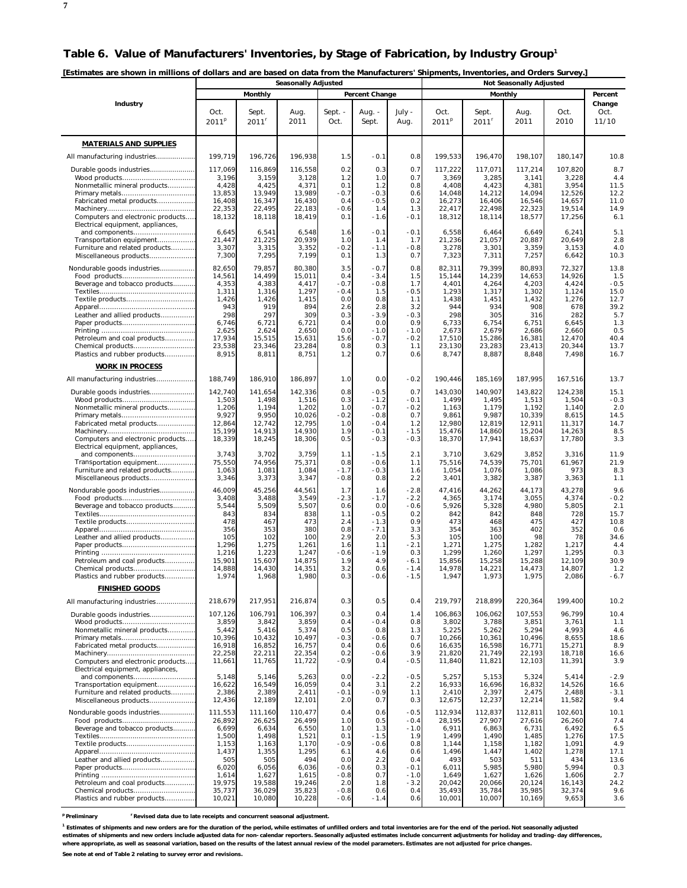| [Estimates are shown in millions of dollars and are based on data from the Manufacturers' Shipments, Inventories, and Orders Survey.] |  |
|---------------------------------------------------------------------------------------------------------------------------------------|--|
|                                                                                                                                       |  |

|                                                                        | <b>Seasonally Adjusted</b> |                            |                  |                 |                  |                  |                           | <b>Not Seasonally Adjusted</b> |                  |                  |                         |  |  |  |
|------------------------------------------------------------------------|----------------------------|----------------------------|------------------|-----------------|------------------|------------------|---------------------------|--------------------------------|------------------|------------------|-------------------------|--|--|--|
|                                                                        |                            | Monthly                    |                  |                 | Percent Change   |                  |                           | Monthly                        |                  |                  | Percent                 |  |  |  |
| Industry                                                               | Oct.<br>2011 <sup>p</sup>  | Sept.<br>2011 <sup>r</sup> | Aug.<br>2011     | Sept. -<br>Oct. | Aug. -<br>Sept.  | July -<br>Aug.   | Oct.<br>2011 <sup>p</sup> | Sept.<br>2011 <sup>r</sup>     | Aug.<br>2011     | Oct.<br>2010     | Change<br>Oct.<br>11/10 |  |  |  |
| <b>MATERIALS AND SUPPLIES</b>                                          |                            |                            |                  |                 |                  |                  |                           |                                |                  |                  |                         |  |  |  |
| All manufacturing industries                                           | 199,719                    | 196,726                    | 196,938          | 1.5             | $-0.1$           | 0.8              | 199,533                   | 196,470                        | 198,107          | 180,147          | 10.8                    |  |  |  |
| Durable goods industries                                               | 117,069                    | 116,869                    | 116,558          | 0.2             | 0.3              | 0.7              | 117,222                   | 117,071                        | 117,214          | 107,820          | 8.7                     |  |  |  |
|                                                                        | 3,196                      | 3,159                      | 3,128            | 1.2             | 1.0              | 0.7              | 3,369                     | 3,285                          | 3,141            | 3,228            | 4.4                     |  |  |  |
| Nonmetallic mineral products                                           | 4,428<br>13,853            | 4,425<br>13,949            | 4,371<br>13,989  | 0.1<br>$-0.7$   | 1.2<br>$-0.3$    | 0.8<br>0.6       | 4,408<br>14,048           | 4,423<br>14,212                | 4,381<br>14,094  | 3,954<br>12,526  | 11.5<br>12.2            |  |  |  |
| Fabricated metal products                                              | 16.408                     | 16,347                     | 16,430           | 0.4             | $-0.5$           | 0.2              | 16,273                    | 16,406                         | 16,546           | 14,657           | 11.0                    |  |  |  |
| Computers and electronic products                                      | 22,353<br>18,132           | 22,495<br>18,118           | 22,183<br>18,419 | $-0.6$<br>0.1   | 1.4<br>$-1.6$    | 1.3<br>$-0.1$    | 22,417<br>18,312          | 22,498<br>18,114               | 22,323<br>18,577 | 19,514<br>17,256 | 14.9<br>6.1             |  |  |  |
| Electrical equipment, appliances.                                      |                            |                            |                  |                 |                  |                  |                           |                                |                  |                  |                         |  |  |  |
| and components<br>Transportation equipment                             | 6,645<br>21,447            | 6,541<br>21,225            | 6,548<br>20,939  | 1.6<br>1.0      | $-0.1$<br>1.4    | $-0.1$<br>1.7    | 6,558<br>21,236           | 6,464<br>21.057                | 6,649<br>20,887  | 6,241<br>20,649  | 5.1<br>2.8              |  |  |  |
| Furniture and related products                                         | 3,307                      | 3,315                      | 3,352            | $-0.2$          | $-1.1$           | $-0.8$           | 3,278                     | 3,301                          | 3,359            | 3,153            | 4.0                     |  |  |  |
| Miscellaneous products                                                 | 7,300                      | 7,295                      | 7,199            | 0.1             | 1.3              | 0.7              | 7,323                     | 7,311                          | 7,257            | 6,642            | 10.3                    |  |  |  |
| Nondurable goods industries                                            | 82,650<br>14,561           | 79,857<br>14,499           | 80,380<br>15,011 | 3.5<br>0.4      | $-0.7$<br>$-3.4$ | 0.8<br>1.5       | 82,311<br>15,144          | 79,399<br>14,239               | 80,893<br>14,653 | 72,327<br>14,926 | 13.8<br>1.5             |  |  |  |
| Beverage and tobacco products                                          | 4,353                      | 4,383                      | 4,417            | $-0.7$          | $-0.8$           | 1.7              | 4,401                     | 4,264                          | 4,203            | 4,424            | $-0.5$                  |  |  |  |
| Textile products                                                       | 1,311<br>1,426             | 1,316<br>1,426             | 1,297<br>1,415   | $-0.4$<br>0.0   | 1.5<br>0.8       | $-0.5$<br>1.1    | 1,293<br>1,438            | 1,317<br>1,451                 | 1,302<br>1,432   | 1,124<br>1,276   | 15.0<br>12.7            |  |  |  |
|                                                                        | 943                        | 919                        | 894              | 2.6             | 2.8              | 3.2              | 944                       | 934                            | 908              | 678              | 39.2                    |  |  |  |
| Leather and allied products                                            | 298<br>6,746               | 297<br>6,721               | 309<br>6,721     | 0.3<br>0.4      | $-3.9$<br>0.0    | $-0.3$<br>0.9    | 298<br>6,733              | 305<br>6,754                   | 316<br>6,751     | 282<br>6,645     | 5.7<br>1.3              |  |  |  |
|                                                                        | 2,625                      | 2,624                      | 2,650            | 0.0             | $-1.0$           | $-1.0$           | 2,673                     | 2,679                          | 2,686            | 2,660            | 0.5                     |  |  |  |
| Petroleum and coal products                                            | 17.934<br>23,538           | 15,515<br>23,346           | 15,631<br>23,284 | 15.6<br>0.8     | $-0.7$<br>0.3    | $-0.2$<br>1.1    | 17,510<br>23,130          | 15,286<br>23,283               | 16,381<br>23,413 | 12,470<br>20,344 | 40.4<br>13.7            |  |  |  |
| Plastics and rubber products                                           | 8,915                      | 8,811                      | 8,751            | 1.2             | 0.7              | 0.6              | 8,747                     | 8,887                          | 8,848            | 7,498            | 16.7                    |  |  |  |
| <b>WORK IN PROCESS</b>                                                 |                            |                            |                  |                 |                  |                  |                           |                                |                  |                  |                         |  |  |  |
| All manufacturing industries                                           | 188,749                    | 186,910                    | 186,897          | 1.0             | 0.0              | $-0.2$           | 190,446                   | 185,169                        | 187,995          | 167,516          | 13.7                    |  |  |  |
| Durable goods industries                                               | 142,740<br>1,503           | 141,654<br>1,498           | 142,336<br>1,516 | 0.8<br>0.3      | $-0.5$<br>$-1.2$ | 0.7<br>$-0.1$    | 143,030<br>1,499          | 140,907<br>1,495               | 143,822<br>1,513 | 124,238<br>1,504 | 15.1<br>$-0.3$          |  |  |  |
| Nonmetallic mineral products                                           | 1,206                      | 1,194                      | 1,202            | 1.0             | $-0.7$           | $-0.2$           | 1,163                     | 1,179                          | 1,192            | 1,140            | 2.0                     |  |  |  |
| Fabricated metal products                                              | 9,927<br>12,864            | 9,950<br>12,742            | 10,026<br>12,795 | $-0.2$<br>1.0   | $-0.8$<br>$-0.4$ | 0.7<br>1.2       | 9,861<br>12,980           | 9,987<br>12,819                | 10,339<br>12,911 | 8,615<br>11,317  | 14.5<br>14.7            |  |  |  |
|                                                                        | 15,199                     | 14,913                     | 14,930           | 1.9             | $-0.1$           | $-1.5$           | 15,476                    | 14,860                         | 15,204           | 14,263           | 8.5                     |  |  |  |
| Computers and electronic products<br>Electrical equipment, appliances, | 18,339                     | 18,245                     | 18,306           | 0.5             | $-0.3$           | $-0.3$           | 18,370                    | 17,941                         | 18,637           | 17,780           | 3.3                     |  |  |  |
| and components                                                         | 3,743                      | 3,702                      | 3,759            | 1.1             | $-1.5$           | 2.1              | 3,710                     | 3,629                          | 3,852            | 3,316            | 11.9                    |  |  |  |
| Transportation equipment<br>Furniture and related products             | 75,550<br>1,063            | 74,956<br>1,081            | 75,371<br>1,084  | 0.8<br>$-1.7$   | $-0.6$<br>$-0.3$ | 1.1<br>1.6       | 75,516<br>1,054           | 74,539<br>1,076                | 75,701<br>1,086  | 61,967<br>973    | 21.9<br>8.3             |  |  |  |
| Miscellaneous products                                                 | 3,346                      | 3,373                      | 3,347            | $-0.8$          | 0.8              | 2.2              | 3,401                     | 3,382                          | 3,387            | 3,363            | 1.1                     |  |  |  |
| Nondurable goods industries                                            | 46,009                     | 45,256                     | 44,561           | 1.7             | 1.6              | $-2.8$           | 47,416                    | 44,262                         | 44,173           | 43,278           | 9.6                     |  |  |  |
| Beverage and tobacco products                                          | 3,408<br>5,544             | 3,488<br>5,509             | 3,549<br>5,507   | $-2.3$<br>0.6   | $-1.7$<br>0.0    | $-2.2$<br>$-0.6$ | 4,365<br>5,926            | 3,174<br>5,328                 | 3,055<br>4,980   | 4,374<br>5,805   | $-0.2$<br>2.1           |  |  |  |
|                                                                        | 843                        | 834                        | 838              | 1.1             | -0.5             | 0.2              | 842                       | 842                            | 848              | 728              | 15.7                    |  |  |  |
| Textile products                                                       | 478<br>356                 | 467<br>353                 | 473<br>380       | 2.4<br>0.8      | $-1.3$<br>$-7.1$ | 0.9<br>3.3       | 473<br>354                | 468<br>363                     | 475<br>402       | 427<br>352       | 10.8<br>0.6             |  |  |  |
| Leather and allied products                                            | 105                        | 102                        | 100              | 2.9             | 2.0              | 5.3              | 105                       | 100                            | 98               | 78               | 34.6                    |  |  |  |
|                                                                        | 1,296<br>1,216             | 1,275<br>1,223             | 1,261<br>1,247   | 1.6<br>$-0.6$   | 1.1<br>$-1.9$    | $-2.1$<br>0.3    | 1,271<br>1,299            | 1,275<br>1,260                 | 1,282<br>1,297   | 1,217<br>1,295   | 4.4<br>0.3              |  |  |  |
| Petroleum and coal products                                            | 15,901                     | 15,607                     | 14,875           | 1.9             | 4.9              | $-6.1$           | 15,856                    | 15,258                         | 15,288           | 12,109           | 30.9                    |  |  |  |
| Chemical products<br>Plastics and rubber products                      | 14,888<br>1,974            | 14,430<br>1,968            | 14,351<br>1,980  | 3.2<br>0.3      | 0.6<br>$-0.6$    | $-1.4$<br>$-1.5$ | 14,978<br>1,947           | 14,221<br>1,973                | 14,473<br>1,975  | 14,807<br>2,086  | 1.2<br>$-6.7$           |  |  |  |
| <b>FINISHED GOODS</b>                                                  |                            |                            |                  |                 |                  |                  |                           |                                |                  |                  |                         |  |  |  |
| All manufacturing industries                                           | 218,679                    | 217,951                    | 216,874          | 0.3             | 0.5              | 0.4              | 219,797                   | 218,899                        | 220,364          | 199,400          | 10.2                    |  |  |  |
| Durable goods industries                                               | 107,126                    | 106,791                    | 106,397          | 0.3             | 0.4              | 1.4              | 106,863                   | 106,062                        | 107,553          | 96,799           | 10.4                    |  |  |  |
| Nonmetallic mineral products                                           | 3,859<br>5,442             | 3,842<br>5,416             | 3,859<br>5,374   | 0.4<br>0.5      | $-0.4$<br>0.8    | 0.8<br>1.3       | 3,802<br>5,225            | 3,788<br>5,262                 | 3,851<br>5,294   | 3,761<br>4,993   | 1.1<br>4.6              |  |  |  |
|                                                                        | 10,396                     | 10,432                     | 10,497           | $-0.3$          | $-0.6$           | 0.7              | 10,266                    | 10,361                         | 10.496           | 8,655            | 18.6                    |  |  |  |
| Fabricated metal products                                              | 16,918<br>22,258           | 16,852<br>22.211           | 16,757<br>22,354 | 0.4<br>0.2      | 0.6<br>$-0.6$    | 0.6<br>3.9       | 16,635<br>21,820          | 16,598<br>21,749               | 16,771<br>22,193 | 15,271<br>18,718 | 8.9<br>16.6             |  |  |  |
| Computers and electronic products                                      | 11,661                     | 11,765                     | 11,722           | $-0.9$          | 0.4              | $-0.5$           | 11,840                    | 11,821                         | 12,103           | 11,391           | 3.9                     |  |  |  |
| Electrical equipment, appliances,<br>and components                    | 5,148                      | 5,146                      | 5,263            | 0.0             | $-2.2$           | $-0.5$           | 5,257                     | 5,153                          | 5,324            | 5,414            | $-2.9$                  |  |  |  |
| Transportation equipment                                               | 16,622                     | 16,549                     | 16,059           | 0.4             | 3.1              | 2.2              | 16,933                    | 16,696                         | 16,832           | 14,526           | 16.6                    |  |  |  |
| Furniture and related products<br>Miscellaneous products               | 2,386<br>12,436            | 2,389<br>12,189            | 2,411<br>12,101  | $-0.1$<br>2.0   | $-0.9$<br>0.7    | 1.1<br>0.3       | 2,410<br>12,675           | 2,397<br>12,237                | 2,475<br>12,214  | 2,488<br>11,582  | $-3.1$<br>9.4           |  |  |  |
| Nondurable goods industries                                            | 111.553                    | 111,160                    | 110,477          | 0.4             | 0.6              | $-0.5$           | 112,934                   | 112,837                        | 112,811          | 102,601          | 10.1                    |  |  |  |
|                                                                        | 26,892                     | 26,625                     | 26,499           | 1.0             | 0.5              | $-0.4$           | 28,195                    | 27,907                         | 27,616           | 26,260           | 7.4                     |  |  |  |
| Beverage and tobacco products                                          | 6,699<br>1,500             | 6,634<br>1,498             | 6,550<br>1,521   | 1.0<br>0.1      | 1.3<br>-1.5      | $-1.0$<br>1.9    | 6,911<br>1,499            | 6,863<br>1,490                 | 6,731<br>1,485   | 6,492<br>1,276   | 6.5<br>17.5             |  |  |  |
| Textile products                                                       | 1,153                      | 1,163                      | 1,170            | $-0.9$          | $-0.6$           | 0.8              | 1,144                     | 1,158                          | 1,182            | 1,091            | 4.9                     |  |  |  |
| Leather and allied products                                            | 1,437<br>505               | 1,355<br>505               | 1,295<br>494     | 6.1<br>0.0      | 4.6<br>2.2       | 0.6<br>0.4       | 1,496<br>493              | 1,447<br>503                   | 1,402<br>511     | 1,278<br>434     | 17.1<br>13.6            |  |  |  |
|                                                                        | 6,020                      | 6,056                      | 6,036            | $-0.6$          | 0.3              | $-0.1$           | 6,011                     | 5,985                          | 5,980            | 5,994            | 0.3                     |  |  |  |
| Petroleum and coal products                                            | 1,614<br>19,975            | 1,627<br>19,588            | 1,615<br>19,246  | $-0.8$<br>2.0   | 0.7<br>1.8       | $-1.0$<br>$-3.2$ | 1,649<br>20,042           | 1,627<br>20,066                | 1,626<br>20,124  | 1,606<br>16,143  | 2.7<br>24.2             |  |  |  |
| Chemical products                                                      | 35,737                     | 36,029                     | 35,823           | $-0.8$          | 0.6              | 0.4              | 35,493                    | 35,784                         | 35,985           | 32,374           | 9.6                     |  |  |  |
| Plastics and rubber products                                           | 10,021                     | 10,080                     | 10,228           | $-0.6$          | $-1.4$           | 0.6              | 10,001                    | 10,007                         | 10,169           | 9,653            | 3.6                     |  |  |  |

**p Preliminary r Revised data due to late receipts and concurrent seasonal adjustment.**

<sup>1</sup> Estimates of shipments and new orders are for the duration of the period, while estimates of unfilled orders and total inventories are for the end of the period. Not seasonally adjusted **estimates of shipments and new orders include adjusted data for non-calendar reporters. Seasonally adjusted estimates include concurrent adjustments for holiday and trading-day differences, where appropriate, as well as seasonal variation, based on the results of the latest annual review of the model parameters. Estimates are not adjusted for price changes. See note at end of Table 2 relating to survey error and revisions.**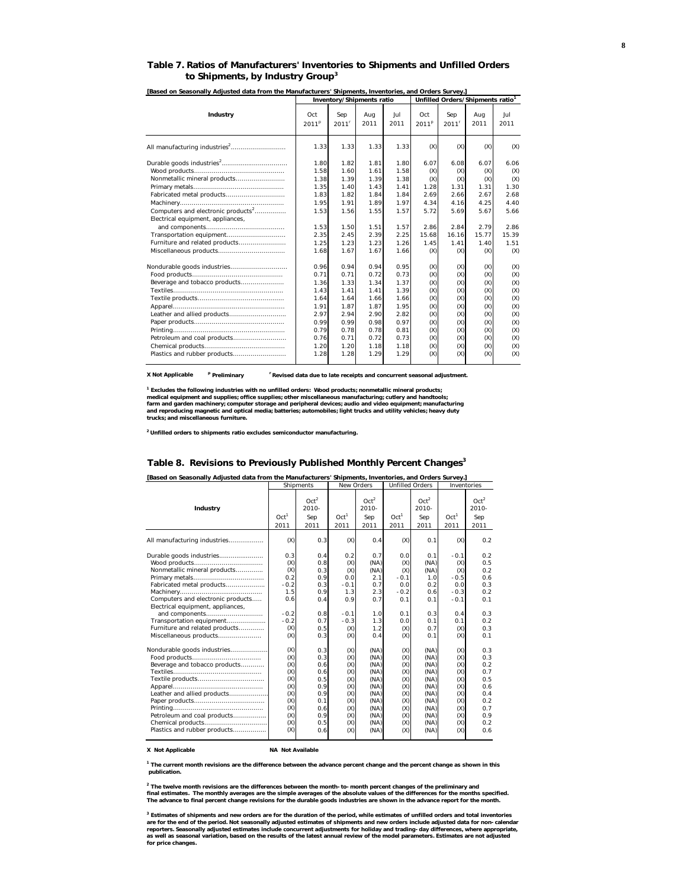| [Based on Seasonally Adjusted data from the Manufacturers' Shipments, Inventories, and Orders Survey.] |                                                                                      |                                                                                      |                                                                                      |                                                                             |                                                                             |                                                                             |                                                                                         |  |
|--------------------------------------------------------------------------------------------------------|--------------------------------------------------------------------------------------|--------------------------------------------------------------------------------------|--------------------------------------------------------------------------------------|-----------------------------------------------------------------------------|-----------------------------------------------------------------------------|-----------------------------------------------------------------------------|-----------------------------------------------------------------------------------------|--|
|                                                                                                        |                                                                                      |                                                                                      |                                                                                      |                                                                             |                                                                             |                                                                             |                                                                                         |  |
| Oct<br>2011 <sup>p</sup>                                                                               | Sep<br>2011 <sup>r</sup>                                                             | Aug<br>2011                                                                          | Jul<br>2011                                                                          | Oct<br>2011 <sup>p</sup>                                                    | Sep<br>2011 <sup>r</sup>                                                    | Aug<br>2011                                                                 | Jul<br>2011                                                                             |  |
| 1.33                                                                                                   | 1.33                                                                                 | 1.33                                                                                 | 1.33                                                                                 | (X)                                                                         | (X)                                                                         | (X)                                                                         | (X)                                                                                     |  |
| 1.80<br>1.58<br>1.38<br>1.35<br>1.83<br>1.95<br>1.53<br>1.53<br>2.35<br>1.25                           | 1.82<br>1.60<br>1.39<br>1.40<br>1.82<br>1.91<br>1.56<br>1.50<br>2.45<br>1.23         | 1.81<br>1.61<br>1.39<br>1.43<br>1.84<br>1.89<br>1.55<br>1.51<br>2.39<br>1.23         | 1.80<br>1.58<br>1.38<br>1.41<br>1.84<br>1.97<br>1.57<br>1.57<br>2.25<br>1.26         | 6.07<br>(X)<br>(X)<br>1.28<br>2.69<br>4.34<br>5.72<br>2.86<br>15.68<br>1.45 | 6.08<br>(X)<br>(X)<br>1.31<br>2.66<br>4.16<br>5.69<br>2.84<br>16.16<br>1.41 | 6.07<br>(X)<br>(X)<br>1.31<br>2.67<br>4.25<br>5.67<br>2.79<br>15.77<br>1.40 | 6.06<br>(X)<br>(X)<br>1.30<br>2.68<br>4.40<br>5.66<br>2.86<br>15.39<br>1.51             |  |
| 0.96<br>0.71<br>1.36<br>1.43<br>1.64<br>1.91<br>2.97<br>0.99<br>0.79<br>0.76<br>1.20                   | 0.94<br>0.71<br>1.33<br>1.41<br>1.64<br>1.87<br>2.94<br>0.99<br>0.78<br>0.71<br>1.20 | 0.94<br>0.72<br>1.34<br>1.41<br>1.66<br>1.87<br>2.90<br>0.98<br>0.78<br>0.72<br>1.18 | 0.95<br>0.73<br>1.37<br>1.39<br>1.66<br>1.95<br>2.82<br>0.97<br>0.81<br>0.73<br>1.18 | (X)<br>(X)<br>(X)<br>(X)<br>(X)<br>(X)<br>(X)<br>(X)<br>(X)<br>(X)<br>(X)   | (X)<br>(X)<br>(X)<br>(X)<br>(X)<br>(X)<br>(X)<br>(X)<br>(X)<br>(X)<br>(X)   | (X)<br>(X)<br>(X)<br>(X)<br>(X)<br>(X)<br>(X)<br>(X)<br>(X)<br>(X)<br>(X)   | (X)<br>(X)<br>(X)<br>(X)<br>(X)<br>(X)<br>(X)<br>(X)<br>(X)<br>(X)<br>(X)<br>(X)<br>(X) |  |
|                                                                                                        | 1.68<br>1.28                                                                         | 1.67<br>1.28                                                                         | 1.67<br>1.29                                                                         | Inventory/Shipments ratio<br>1.66<br>1.29                                   | (X)<br>(X)                                                                  | (X)<br>(X)                                                                  | Unfilled Orders/Shipments ratio1<br>(X)<br>(X)                                          |  |

#### **Table 7. Ratios of Manufacturers' Inventories to Shipments and Unfilled Orders to Shipments, by Industry Group<sup>3</sup>**

**X Not Applicable <sup>p</sup> Preliminary r Revised data due to late receipts and concurrent seasonal adjustment.**

<sup>1</sup> Excludes the following industries with no unfilled orders: Wood products; nonmetallic mineral products;<br>medical equipment and supplies; office supplies; other miscellaneous manufacturing; cutlery and handtools;<br>farm an

**2 Unfilled orders to shipments ratio excludes semiconductor manufacturing.**

#### $Oct^2$   $Oct^2$   $Oct^2$   $Oct^2$   $Oct^2$ **Industry** 2010- 2010- 2010- 2010- Oct<sup>1</sup> Sep Oct<sup>1</sup> Sep Oct<sup>1</sup> Sep Oct<sup>1</sup> Sep 2011 2011 2011 2011 2011 2011 2011 2011 All manufacturing industries.…..…..……. (X) 0.3 (X) 0.4 (X) 0.1 (X) 0.2 Durable goods industries.....…........……. 0.3 0.4 0.2 0.7 0.0 0.1 -0.1 0.2 Wood products………………..…………… (X) 0.8 (X) (NA) (X) (NA) (X) 0.5 Nonmetallic mineral products…………... (X) 0.3 (X) (NA) (X) (NA) (X) 0.2<br>Primary metals……………………………... 0.2 0.9 0.0 2.1 -0.1 1.0 -0.5 0.6 2.5 | 1.0 | 1.0 | 1.0 | 1.0 | 1.0 | 1.0 | 1.0 | 1.0 | 1.0 | 1.0 | 1.0 | 1.0 | 1.0 | 1.0 | 1.0 | 1.0 | 1.0 | 1.<br>1.0 | 1.0 | 1.0 | 1.0 | 1.0 | 1.0 | 1.0 | 1.0 | 1.0 | 1.0 | 1.0 | 1.0 | 1.0 | 1.0 | 1.0 | 1.0 | 1.0 | 1.0 | 1. Fabricated metal products……………….. -0.2 0.3 -0.1 0.7 0.0 0.2 0.0 0.3 Machinery……………….…..……….…….. 1.5 0.9 1.3 2.3 -0.2 0.6 -0.3 0.2 Computers and electronic products….. 0.6 0.4 0.9 0.7 0.1 0.1 -0.1 0.1 Electrical equipment, appliances, and components………………....……. -0.2 0.8 -0.1 1.0 0.1 0.3 0.4 0.3 **Transportation equipment……………….** -0.2 0.7 -0.3 1.3 0.0 0.1 0.1<br>**Furniture and related products………….** - -0.2 0.7 -0.3 1.3 0.0 0.1 0.1 0.1 Furniture and related products…………. (X) 0.5 (X) 1.2 (X) 0.7 (X) 0.3 Miscellaneous products. Nondurable goods industries………………. (X) 0.3 (X) (NA) (X) (NA) (X) 0.3 Food products…………………………….. (X) 0.3 (X) (NA) (X) (NA) (X) 0.3 0.6 (X) 0.6 (X) (NA) (X) (NA) (X) 0.7 (NA) (X) 0.7 (NA) (X) 0.7 (NA) (X) 0.7 (NA) (X) 0.6 (X) (NA) (X) (NA) (X) 0.2 (NA) (X) 0.6 (X) (NA) (X) (NA) (X) 0.2 (NA) (X) 0.6 (X) (NA) (X) (NA) (X) 0.7 (NA) (X) 0.5 (X) (NA) (X) 0. Textiles……………….…….……….……… (X) 0.6 (X) (NA) (X) (NA) (X) 0.7 Textile products……………….….……….. (X) 0.5 (X) (NA) (X) (NA) (X) 0.5 Apparel………….…………..…..….………. (X) 0.9 (X) (NA) (X) (NA) (X) 0.6 Leather and allied products……………….. (X) 0.9 (X) (NA) (X) (NA) (X) 0.4 Paper products…………………..…………. (X) 0.1 (X) (NA) (X) (NA) (X) 0.2 Printing………………...….………………… (X) 0.6 (X) (NA) (X) (NA) (X) 0.7 Petroleum and coal products…………….. (X) 0.9 (X) (NA) (X) (NA) (X) 0.9 Chemical products………………..………… (X) 0.5 (X) (NA) (X) (NA) (X) 0.2 Plastics and rubber products... **Exased on Seasonally Adjusted data from the Manufacturers' Shipments, Inventories, and Orders Survey.]<br>Shipments New Orders | Unfilled Orders | Inventories**

#### **Table 8. Revisions to Previously Published Monthly Percent Changes3**

**X Not Applicable NA Not Available**

**1 The current month revisions are the difference between the advance percent change and the percent change as shown in this publication.**

<sup>2</sup> The twelve month revisions are the differences between the month-to-month percent changes of the preliminary and<br>final estimates. The monthly averages are the simple averages of the absolute values of the differences f

**3 Estimates of shipments and new orders are for the duration of the period, while estimates of unfilled orders and total inventories**  are for the end of the period. Not seasonally adjusted estimates of shipments and new orders include adjusted data for non-calendar<br>reporters. Seasonally adjusted estimates include concurrent adjustments for holiday and tr **as well as seasonal variation, based on the results of the latest annual review of the model parameters. Estimates are not adjusted for price changes.**